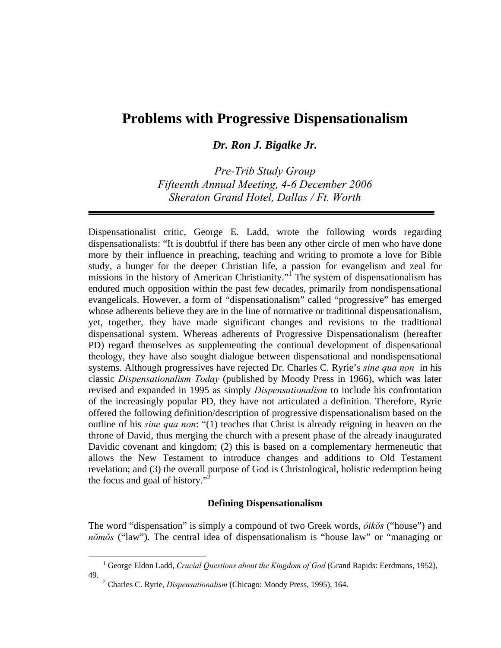# **Problems with Progressive Dispensationalism**

*Dr. Ron J. Bigalke Jr.* 

*Pre-Trib Study Group Fifteenth Annual Meeting, 4-6 December 2006 Sheraton Grand Hotel, Dallas / Ft. Worth* 

Dispensationalist critic, George E. Ladd, wrote the following words regarding dispensationalists: "It is doubtful if there has been any other circle of men who have done more by their influence in preaching, teaching and writing to promote a love for Bible study, a hunger for the deeper Christian life, a passion for evangelism and zeal for missions in the history of American Christianity."<sup>1</sup> The system of dispensationalism has endured much opposition within the past few decades, primarily from nondispensational evangelicals. However, a form of "dispensationalism" called "progressive" has emerged whose adherents believe they are in the line of normative or traditional dispensationalism, yet, together, they have made significant changes and revisions to the traditional dispensational system. Whereas adherents of Progressive Dispensationalism (hereafter PD) regard themselves as supplementing the continual development of dispensational theology, they have also sought dialogue between dispensational and nondispensational systems. Although progressives have rejected Dr. Charles C. Ryrie's *sine qua non* in his classic *Dispensationalism Today* (published by Moody Press in 1966), which was later revised and expanded in 1995 as simply *Dispensationalism* to include his confrontation of the increasingly popular PD, they have not articulated a definition. Therefore, Ryrie offered the following definition/description of progressive dispensationalism based on the outline of his *sine qua non*: "(1) teaches that Christ is already reigning in heaven on the throne of David, thus merging the church with a present phase of the already inaugurated Davidic covenant and kingdom; (2) this is based on a complementary hermeneutic that allows the New Testament to introduce changes and additions to Old Testament revelation; and (3) the overall purpose of God is Christological, holistic redemption being the focus and goal of history."<sup>2</sup>

#### **Defining Dispensationalism**

The word "dispensation" is simply a compound of two Greek words, *ŏikŏs* ("house") and *nŏmŏs* ("law"). The central idea of dispensationalism is "house law" or "managing or

 $\frac{1}{1}$ <sup>1</sup> George Eldon Ladd, *Crucial Questions about the Kingdom of God* (Grand Rapids: Eerdmans, 1952), 49. 2

Charles C. Ryrie, *Dispensationalism* (Chicago: Moody Press, 1995), 164.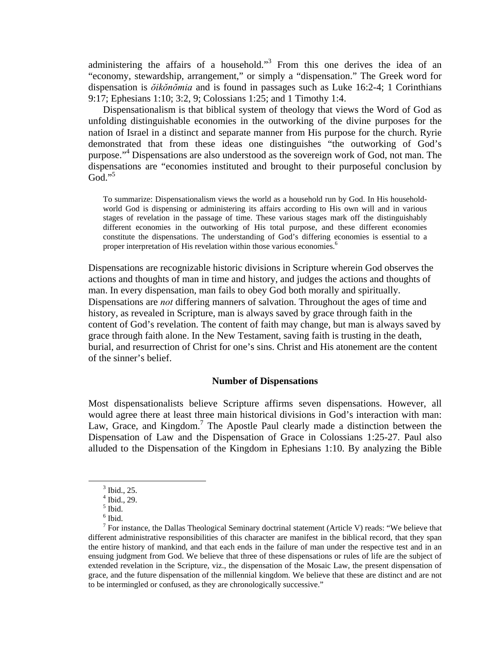administering the affairs of a household."<sup>3</sup> From this one derives the idea of an "economy, stewardship, arrangement," or simply a "dispensation." The Greek word for dispensation is *ŏikŏnŏmia* and is found in passages such as Luke 16:2-4; 1 Corinthians 9:17; Ephesians 1:10; 3:2, 9; Colossians 1:25; and 1 Timothy 1:4.

 Dispensationalism is that biblical system of theology that views the Word of God as unfolding distinguishable economies in the outworking of the divine purposes for the nation of Israel in a distinct and separate manner from His purpose for the church. Ryrie demonstrated that from these ideas one distinguishes "the outworking of God's purpose."4 Dispensations are also understood as the sovereign work of God, not man. The dispensations are "economies instituted and brought to their purposeful conclusion by  $Go<sup>1</sup>$ <sup>.,5</sup>

To summarize: Dispensationalism views the world as a household run by God. In His householdworld God is dispensing or administering its affairs according to His own will and in various stages of revelation in the passage of time. These various stages mark off the distinguishably different economies in the outworking of His total purpose, and these different economies constitute the dispensations. The understanding of God's differing economies is essential to a proper interpretation of His revelation within those various economies.<sup>6</sup>

Dispensations are recognizable historic divisions in Scripture wherein God observes the actions and thoughts of man in time and history, and judges the actions and thoughts of man. In every dispensation, man fails to obey God both morally and spiritually. Dispensations are *not* differing manners of salvation. Throughout the ages of time and history, as revealed in Scripture, man is always saved by grace through faith in the content of God's revelation. The content of faith may change, but man is always saved by grace through faith alone. In the New Testament, saving faith is trusting in the death, burial, and resurrection of Christ for one's sins. Christ and His atonement are the content of the sinner's belief.

# **Number of Dispensations**

Most dispensationalists believe Scripture affirms seven dispensations. However, all would agree there at least three main historical divisions in God's interaction with man: Law, Grace, and Kingdom.<sup>7</sup> The Apostle Paul clearly made a distinction between the Dispensation of Law and the Dispensation of Grace in Colossians 1:25-27. Paul also alluded to the Dispensation of the Kingdom in Ephesians 1:10. By analyzing the Bible

 $\frac{1}{3}$  $3$  Ibid., 25.

<sup>4</sup> Ibid., 29.

<sup>5</sup> Ibid.

 $<sup>6</sup>$  Ibid.</sup>

<sup>&</sup>lt;sup>7</sup> For instance, the Dallas Theological Seminary doctrinal statement (Article V) reads: "We believe that different administrative responsibilities of this character are manifest in the biblical record, that they span the entire history of mankind, and that each ends in the failure of man under the respective test and in an ensuing judgment from God. We believe that three of these dispensations or rules of life are the subject of extended revelation in the Scripture, viz., the dispensation of the Mosaic Law, the present dispensation of grace, and the future dispensation of the millennial kingdom. We believe that these are distinct and are not to be intermingled or confused, as they are chronologically successive."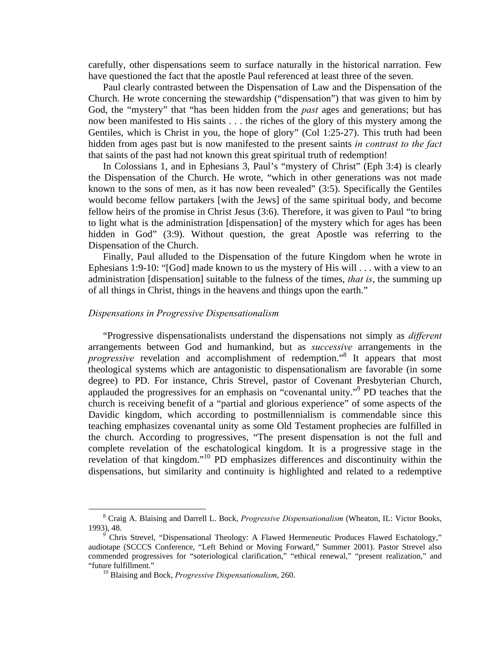carefully, other dispensations seem to surface naturally in the historical narration. Few have questioned the fact that the apostle Paul referenced at least three of the seven.

 Paul clearly contrasted between the Dispensation of Law and the Dispensation of the Church. He wrote concerning the stewardship ("dispensation") that was given to him by God, the "mystery" that "has been hidden from the *past* ages and generations; but has now been manifested to His saints . . . the riches of the glory of this mystery among the Gentiles, which is Christ in you, the hope of glory" (Col 1:25-27). This truth had been hidden from ages past but is now manifested to the present saints *in contrast to the fact* that saints of the past had not known this great spiritual truth of redemption!

 In Colossians 1, and in Ephesians 3, Paul's "mystery of Christ" (Eph 3:4) is clearly the Dispensation of the Church. He wrote, "which in other generations was not made known to the sons of men, as it has now been revealed" (3:5). Specifically the Gentiles would become fellow partakers [with the Jews] of the same spiritual body, and become fellow heirs of the promise in Christ Jesus (3:6). Therefore, it was given to Paul "to bring to light what is the administration [dispensation] of the mystery which for ages has been hidden in God" (3:9). Without question, the great Apostle was referring to the Dispensation of the Church.

 Finally, Paul alluded to the Dispensation of the future Kingdom when he wrote in Ephesians 1:9-10: "[God] made known to us the mystery of His will . . . with a view to an administration [dispensation] suitable to the fulness of the times, *that is*, the summing up of all things in Christ, things in the heavens and things upon the earth."

#### *Dispensations in Progressive Dispensationalism*

 "Progressive dispensationalists understand the dispensations not simply as *different* arrangements between God and humankind, but as *successive* arrangements in the progressive revelation and accomplishment of redemption."<sup>8</sup> It appears that most theological systems which are antagonistic to dispensationalism are favorable (in some degree) to PD. For instance, Chris Strevel, pastor of Covenant Presbyterian Church, applauded the progressives for an emphasis on "covenantal unity."9 PD teaches that the church is receiving benefit of a "partial and glorious experience" of some aspects of the Davidic kingdom, which according to postmillennialism is commendable since this teaching emphasizes covenantal unity as some Old Testament prophecies are fulfilled in the church. According to progressives, "The present dispensation is not the full and complete revelation of the eschatological kingdom. It is a progressive stage in the revelation of that kingdom."10 PD emphasizes differences and discontinuity within the dispensations, but similarity and continuity is highlighted and related to a redemptive

 $\frac{1}{8}$  Craig A. Blaising and Darrell L. Bock, *Progressive Dispensationalism* (Wheaton, IL: Victor Books, 1993), 48. 9

Chris Strevel, "Dispensational Theology: A Flawed Hermeneutic Produces Flawed Eschatology," audiotape (SCCCS Conference, "Left Behind or Moving Forward," Summer 2001). Pastor Strevel also commended progressives for "soteriological clarification," "ethical renewal," "present realization," and "future fulfillment." 10 Blaising and Bock, *Progressive Dispensationalism*, 260.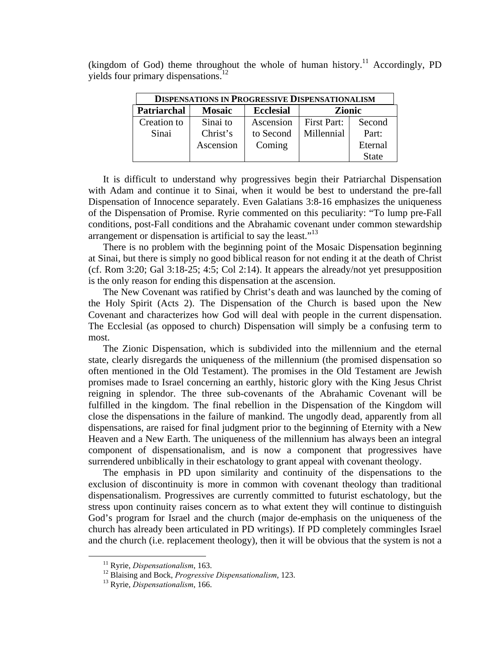(kingdom of God) theme throughout the whole of human history.<sup>11</sup> Accordingly, PD yields four primary dispensations.<sup>12</sup>

| <b>DISPENSATIONS IN PROGRESSIVE DISPENSATIONALISM</b> |               |                  |                    |              |
|-------------------------------------------------------|---------------|------------------|--------------------|--------------|
| <b>Patriarchal</b>                                    | <b>Mosaic</b> | <b>Ecclesial</b> | <b>Zionic</b>      |              |
| Creation to                                           | Sinai to      | Ascension        | <b>First Part:</b> | Second       |
| Sinai                                                 | Christ's      | to Second        | Millennial         | Part:        |
|                                                       | Ascension     | Coming           |                    | Eternal      |
|                                                       |               |                  |                    | <b>State</b> |

 It is difficult to understand why progressives begin their Patriarchal Dispensation with Adam and continue it to Sinai, when it would be best to understand the pre-fall Dispensation of Innocence separately. Even Galatians 3:8-16 emphasizes the uniqueness of the Dispensation of Promise. Ryrie commented on this peculiarity: "To lump pre-Fall conditions, post-Fall conditions and the Abrahamic covenant under common stewardship arrangement or dispensation is artificial to say the least."<sup>13</sup>

 There is no problem with the beginning point of the Mosaic Dispensation beginning at Sinai, but there is simply no good biblical reason for not ending it at the death of Christ (cf. Rom 3:20; Gal 3:18-25; 4:5; Col 2:14). It appears the already/not yet presupposition is the only reason for ending this dispensation at the ascension.

 The New Covenant was ratified by Christ's death and was launched by the coming of the Holy Spirit (Acts 2). The Dispensation of the Church is based upon the New Covenant and characterizes how God will deal with people in the current dispensation. The Ecclesial (as opposed to church) Dispensation will simply be a confusing term to most.

 The Zionic Dispensation, which is subdivided into the millennium and the eternal state, clearly disregards the uniqueness of the millennium (the promised dispensation so often mentioned in the Old Testament). The promises in the Old Testament are Jewish promises made to Israel concerning an earthly, historic glory with the King Jesus Christ reigning in splendor. The three sub-covenants of the Abrahamic Covenant will be fulfilled in the kingdom. The final rebellion in the Dispensation of the Kingdom will close the dispensations in the failure of mankind. The ungodly dead, apparently from all dispensations, are raised for final judgment prior to the beginning of Eternity with a New Heaven and a New Earth. The uniqueness of the millennium has always been an integral component of dispensationalism, and is now a component that progressives have surrendered unbiblically in their eschatology to grant appeal with covenant theology.

 The emphasis in PD upon similarity and continuity of the dispensations to the exclusion of discontinuity is more in common with covenant theology than traditional dispensationalism. Progressives are currently committed to futurist eschatology, but the stress upon continuity raises concern as to what extent they will continue to distinguish God's program for Israel and the church (major de-emphasis on the uniqueness of the church has already been articulated in PD writings). If PD completely commingles Israel and the church (i.e. replacement theology), then it will be obvious that the system is not a

<sup>&</sup>lt;sup>11</sup> Ryrie, *Dispensationalism*, 163.<br><sup>12</sup> Blaising and Bock, *Progressive Dispensationalism*, 123.<br><sup>13</sup> Ryrie, *Dispensationalism*, 166.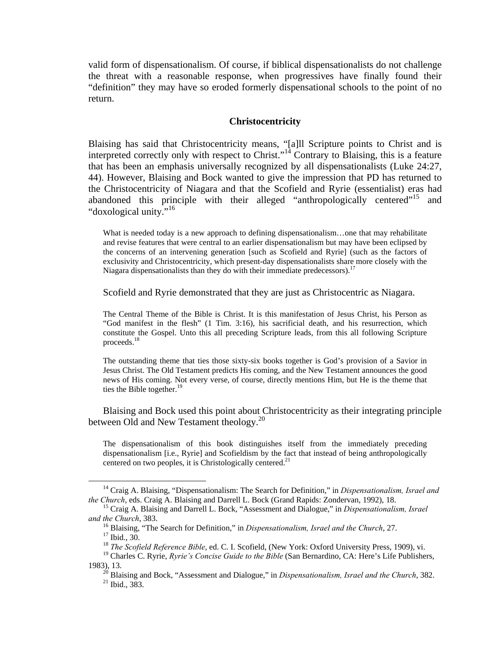valid form of dispensationalism. Of course, if biblical dispensationalists do not challenge the threat with a reasonable response, when progressives have finally found their "definition" they may have so eroded formerly dispensational schools to the point of no return.

# **Christocentricity**

Blaising has said that Christocentricity means, "[a]ll Scripture points to Christ and is interpreted correctly only with respect to Christ."<sup>14</sup> Contrary to Blaising, this is a feature that has been an emphasis universally recognized by all dispensationalists (Luke 24:27, 44). However, Blaising and Bock wanted to give the impression that PD has returned to the Christocentricity of Niagara and that the Scofield and Ryrie (essentialist) eras had abandoned this principle with their alleged "anthropologically centered"<sup>15</sup> and "doxological unity."<sup>16</sup>

What is needed today is a new approach to defining dispensationalism...one that may rehabilitate and revise features that were central to an earlier dispensationalism but may have been eclipsed by the concerns of an intervening generation [such as Scofield and Ryrie] (such as the factors of exclusivity and Christocentricity, which present-day dispensationalists share more closely with the Niagara dispensationalists than they do with their immediate predecessors).<sup>17</sup>

Scofield and Ryrie demonstrated that they are just as Christocentric as Niagara.

The Central Theme of the Bible is Christ. It is this manifestation of Jesus Christ, his Person as "God manifest in the flesh" (1 Tim. 3:16), his sacrificial death, and his resurrection, which constitute the Gospel. Unto this all preceding Scripture leads, from this all following Scripture proceeds.18

The outstanding theme that ties those sixty-six books together is God's provision of a Savior in Jesus Christ. The Old Testament predicts His coming, and the New Testament announces the good news of His coming. Not every verse, of course, directly mentions Him, but He is the theme that ties the Bible together.<sup>19</sup>

 Blaising and Bock used this point about Christocentricity as their integrating principle between Old and New Testament theology.<sup>20</sup>

The dispensationalism of this book distinguishes itself from the immediately preceding dispensationalism [i.e., Ryrie] and Scofieldism by the fact that instead of being anthropologically centered on two peoples, it is Christologically centered.<sup>21</sup>

<sup>&</sup>lt;sup>14</sup> Craig A. Blaising, "Dispensationalism: The Search for Definition," in *Dispensationalism, Israel and the Church*, eds. Craig A. Blaising and Darrell L. Bock (Grand Rapids: Zondervan, 1992), 18.

<sup>&</sup>lt;sup>15</sup> Craig A. Blaising and Darrell L. Bock, "Assessment and Dialogue," in *Dispensationalism, Israel and the Church*, 383. 16 Blaising, "The Search for Definition," in *Dispensationalism, Israel and the Church*, 27. 17 Ibid., 30.

<sup>&</sup>lt;sup>18</sup> The Scofield Reference Bible, ed. C. I. Scofield, (New York: Oxford University Press, 1909), vi.

<sup>&</sup>lt;sup>19</sup> Charles C. Ryrie, *Ryrie's Concise Guide to the Bible* (San Bernardino, CA: Here's Life Publishers,

<sup>1983), 13. 20</sup> Blaising and Bock, "Assessment and Dialogue," in *Dispensationalism, Israel and the Church*, 382. 21 Ibid., 383.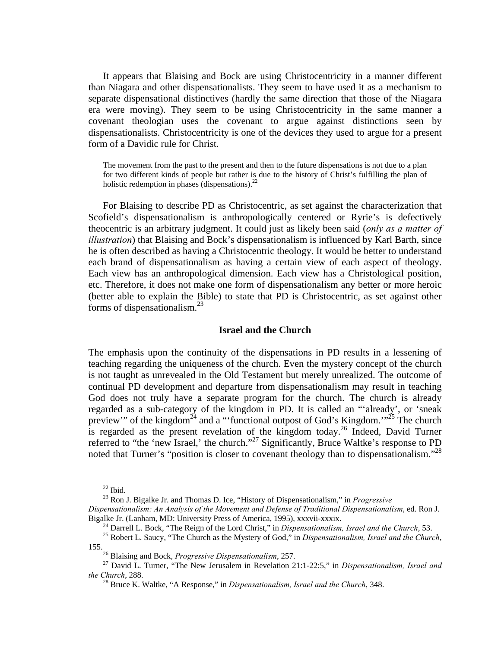It appears that Blaising and Bock are using Christocentricity in a manner different than Niagara and other dispensationalists. They seem to have used it as a mechanism to separate dispensational distinctives (hardly the same direction that those of the Niagara era were moving). They seem to be using Christocentricity in the same manner a covenant theologian uses the covenant to argue against distinctions seen by dispensationalists. Christocentricity is one of the devices they used to argue for a present form of a Davidic rule for Christ.

The movement from the past to the present and then to the future dispensations is not due to a plan for two different kinds of people but rather is due to the history of Christ's fulfilling the plan of holistic redemption in phases (dispensations). $^{22}$ 

 For Blaising to describe PD as Christocentric, as set against the characterization that Scofield's dispensationalism is anthropologically centered or Ryrie's is defectively theocentric is an arbitrary judgment. It could just as likely been said (*only as a matter of illustration*) that Blaising and Bock's dispensationalism is influenced by Karl Barth, since he is often described as having a Christocentric theology. It would be better to understand each brand of dispensationalism as having a certain view of each aspect of theology. Each view has an anthropological dimension. Each view has a Christological position, etc. Therefore, it does not make one form of dispensationalism any better or more heroic (better able to explain the Bible) to state that PD is Christocentric, as set against other forms of dispensationalism. $^{23}$ 

# **Israel and the Church**

The emphasis upon the continuity of the dispensations in PD results in a lessening of teaching regarding the uniqueness of the church. Even the mystery concept of the church is not taught as unrevealed in the Old Testament but merely unrealized. The outcome of continual PD development and departure from dispensationalism may result in teaching God does not truly have a separate program for the church. The church is already regarded as a sub-category of the kingdom in PD. It is called an "'already', or 'sneak preview'" of the kingdom<sup>24</sup> and a "'functional outpost of God's Kingdom."<sup>25</sup> The church is regarded as the present revelation of the kingdom today.26 Indeed, David Turner referred to "the 'new Israel,' the church."27 Significantly, Bruce Waltke's response to PD noted that Turner's "position is closer to covenant theology than to dispensationalism."<sup>28</sup>

 $22$  Ibid.

<sup>23</sup> Ron J. Bigalke Jr. and Thomas D. Ice, "History of Dispensationalism," in *Progressive* 

*Dispensationalism: An Analysis of the Movement and Defense of Traditional Dispensationalism*, ed. Ron J.

Bigalke Jr. (Lanham, MD: University Press of America, 1995), xxxvii-xxxix.<br><sup>24</sup> Darrell L. Bock, "The Reign of the Lord Christ," in *Dispensationalism, Israel and the Church*, 53.<br><sup>25</sup> Robert L. Saucy, "The Church as the M

<sup>155. 26</sup> Blaising and Bock, *Progressive Dispensationalism*, 257. 27 David L. Turner, "The New Jerusalem in Revelation 21:1-22:5," in *Dispensationalism, Israel and* 

<sup>&</sup>lt;sup>28</sup> Bruce K. Waltke, "A Response," in *Dispensationalism, Israel and the Church*, 348.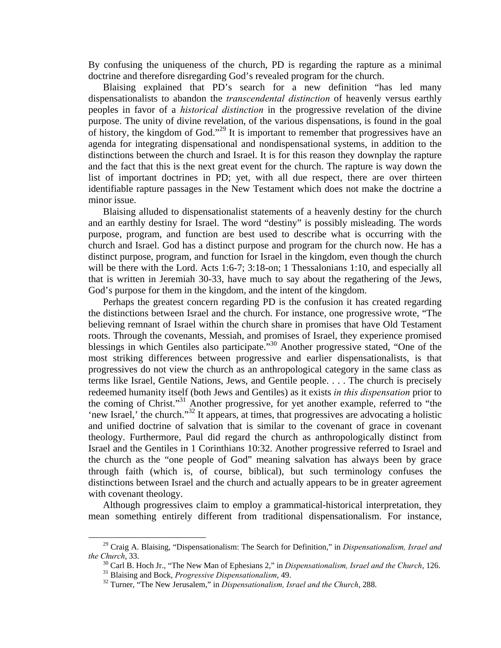By confusing the uniqueness of the church, PD is regarding the rapture as a minimal doctrine and therefore disregarding God's revealed program for the church.

 Blaising explained that PD's search for a new definition "has led many dispensationalists to abandon the *transcendental distinction* of heavenly versus earthly peoples in favor of a *historical distinction* in the progressive revelation of the divine purpose. The unity of divine revelation, of the various dispensations, is found in the goal of history, the kingdom of God."<sup>29</sup> It is important to remember that progressives have an agenda for integrating dispensational and nondispensational systems, in addition to the distinctions between the church and Israel. It is for this reason they downplay the rapture and the fact that this is the next great event for the church. The rapture is way down the list of important doctrines in PD; yet, with all due respect, there are over thirteen identifiable rapture passages in the New Testament which does not make the doctrine a minor issue.

 Blaising alluded to dispensationalist statements of a heavenly destiny for the church and an earthly destiny for Israel. The word "destiny" is possibly misleading. The words purpose, program, and function are best used to describe what is occurring with the church and Israel. God has a distinct purpose and program for the church now. He has a distinct purpose, program, and function for Israel in the kingdom, even though the church will be there with the Lord. Acts 1:6-7; 3:18-on; 1 Thessalonians 1:10, and especially all that is written in Jeremiah 30-33, have much to say about the regathering of the Jews, God's purpose for them in the kingdom, and the intent of the kingdom.

 Perhaps the greatest concern regarding PD is the confusion it has created regarding the distinctions between Israel and the church. For instance, one progressive wrote, "The believing remnant of Israel within the church share in promises that have Old Testament roots. Through the covenants, Messiah, and promises of Israel, they experience promised blessings in which Gentiles also participate."<sup>30</sup> Another progressive stated, "One of the most striking differences between progressive and earlier dispensationalists, is that progressives do not view the church as an anthropological category in the same class as terms like Israel, Gentile Nations, Jews, and Gentile people. . . . The church is precisely redeemed humanity itself (both Jews and Gentiles) as it exists *in this dispensation* prior to the coming of Christ."<sup>31</sup> Another progressive, for yet another example, referred to "the 'new Israel,' the church."<sup>32</sup> It appears, at times, that progressives are advocating a holistic and unified doctrine of salvation that is similar to the covenant of grace in covenant theology. Furthermore, Paul did regard the church as anthropologically distinct from Israel and the Gentiles in 1 Corinthians 10:32. Another progressive referred to Israel and the church as the "one people of God" meaning salvation has always been by grace through faith (which is, of course, biblical), but such terminology confuses the distinctions between Israel and the church and actually appears to be in greater agreement with covenant theology.

 Although progressives claim to employ a grammatical-historical interpretation, they mean something entirely different from traditional dispensationalism. For instance,

<sup>&</sup>lt;sup>29</sup> Craig A. Blaising, "Dispensationalism: The Search for Definition," in *Dispensationalism, Israel and the Church*, 33.

<sup>&</sup>lt;sup>30</sup> Carl B. Hoch Jr., "The New Man of Ephesians 2," in *Dispensationalism*, *Israel and the Church*, 126.<br><sup>31</sup> Blaising and Bock, *Progressive Dispensationalism*, 49.<br><sup>32</sup> Turner, "The New Jerusalem," in *Dispensationali*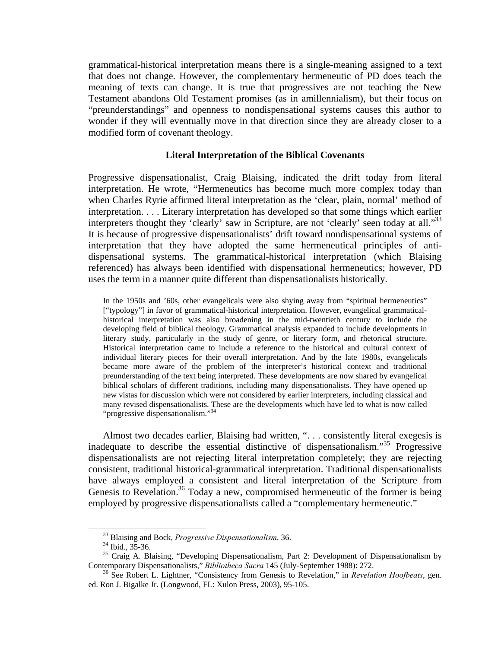grammatical-historical interpretation means there is a single-meaning assigned to a text that does not change. However, the complementary hermeneutic of PD does teach the meaning of texts can change. It is true that progressives are not teaching the New Testament abandons Old Testament promises (as in amillennialism), but their focus on "preunderstandings" and openness to nondispensational systems causes this author to wonder if they will eventually move in that direction since they are already closer to a modified form of covenant theology.

# **Literal Interpretation of the Biblical Covenants**

Progressive dispensationalist, Craig Blaising, indicated the drift today from literal interpretation. He wrote, "Hermeneutics has become much more complex today than when Charles Ryrie affirmed literal interpretation as the 'clear, plain, normal' method of interpretation. . . . Literary interpretation has developed so that some things which earlier interpreters thought they 'clearly' saw in Scripture, are not 'clearly' seen today at all."<sup>33</sup> It is because of progressive dispensationalists' drift toward nondispensational systems of interpretation that they have adopted the same hermeneutical principles of antidispensational systems. The grammatical-historical interpretation (which Blaising referenced) has always been identified with dispensational hermeneutics; however, PD uses the term in a manner quite different than dispensationalists historically.

In the 1950s and '60s, other evangelicals were also shying away from "spiritual hermeneutics" ["typology"] in favor of grammatical-historical interpretation. However, evangelical grammaticalhistorical interpretation was also broadening in the mid-twentieth century to include the developing field of biblical theology. Grammatical analysis expanded to include developments in literary study, particularly in the study of genre, or literary form, and rhetorical structure. Historical interpretation came to include a reference to the historical and cultural context of individual literary pieces for their overall interpretation. And by the late 1980s, evangelicals became more aware of the problem of the interpreter's historical context and traditional preunderstanding of the text being interpreted. These developments are now shared by evangelical biblical scholars of different traditions, including many dispensationalists. They have opened up new vistas for discussion which were not considered by earlier interpreters, including classical and many revised dispensationalists. These are the developments which have led to what is now called "progressive dispensationalism."<sup>34</sup>

 Almost two decades earlier, Blaising had written, ". . . consistently literal exegesis is inadequate to describe the essential distinctive of dispensationalism."35 Progressive dispensationalists are not rejecting literal interpretation completely; they are rejecting consistent, traditional historical-grammatical interpretation. Traditional dispensationalists have always employed a consistent and literal interpretation of the Scripture from Genesis to Revelation.<sup>36</sup> Today a new, compromised hermeneutic of the former is being employed by progressive dispensationalists called a "complementary hermeneutic."

 <sup>33</sup> Blaising and Bock, *Progressive Dispensationalism*, 36. 34 Ibid., 35-36.

 $35$  Craig A. Blaising, "Developing Dispensationalism, Part 2: Development of Dispensationalism by Contemporary Dispensationalists," *Bibliotheca Sacra* 145 (July-September 1988): 272.

<sup>&</sup>lt;sup>36</sup> See Robert L. Lightner, "Consistency from Genesis to Revelation," in *Revelation Hoofbeats*, gen. ed. Ron J. Bigalke Jr. (Longwood, FL: Xulon Press, 2003), 95-105.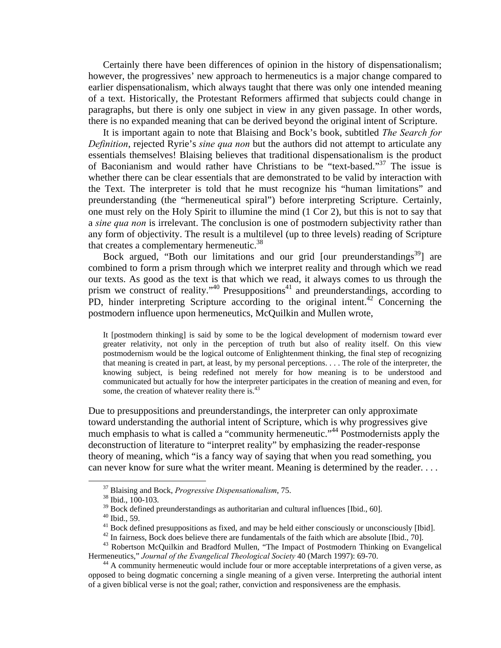Certainly there have been differences of opinion in the history of dispensationalism; however, the progressives' new approach to hermeneutics is a major change compared to earlier dispensationalism, which always taught that there was only one intended meaning of a text. Historically, the Protestant Reformers affirmed that subjects could change in paragraphs, but there is only one subject in view in any given passage. In other words, there is no expanded meaning that can be derived beyond the original intent of Scripture.

 It is important again to note that Blaising and Bock's book, subtitled *The Search for Definition*, rejected Ryrie's *sine qua non* but the authors did not attempt to articulate any essentials themselves! Blaising believes that traditional dispensationalism is the product of Baconianism and would rather have Christians to be "text-based."37 The issue is whether there can be clear essentials that are demonstrated to be valid by interaction with the Text. The interpreter is told that he must recognize his "human limitations" and preunderstanding (the "hermeneutical spiral") before interpreting Scripture. Certainly, one must rely on the Holy Spirit to illumine the mind (1 Cor 2), but this is not to say that a *sine qua non* is irrelevant. The conclusion is one of postmodern subjectivity rather than any form of objectivity. The result is a multilevel (up to three levels) reading of Scripture that creates a complementary hermeneutic.<sup>38</sup>

Bock argued, "Both our limitations and our grid [our preunderstandings<sup>39</sup>] are combined to form a prism through which we interpret reality and through which we read our texts. As good as the text is that which we read, it always comes to us through the prism we construct of reality."<sup>40</sup> Presuppositions<sup>41</sup> and preunderstandings, according to PD, hinder interpreting Scripture according to the original intent.<sup>42</sup> Concerning the postmodern influence upon hermeneutics, McQuilkin and Mullen wrote,

It [postmodern thinking] is said by some to be the logical development of modernism toward ever greater relativity, not only in the perception of truth but also of reality itself. On this view postmodernism would be the logical outcome of Enlightenment thinking, the final step of recognizing that meaning is created in part, at least, by my personal perceptions. . . . The role of the interpreter, the knowing subject, is being redefined not merely for how meaning is to be understood and communicated but actually for how the interpreter participates in the creation of meaning and even, for some, the creation of whatever reality there is.<sup>43</sup>

Due to presuppositions and preunderstandings, the interpreter can only approximate toward understanding the authorial intent of Scripture, which is why progressives give much emphasis to what is called a "community hermeneutic."44 Postmodernists apply the deconstruction of literature to "interpret reality" by emphasizing the reader-response theory of meaning, which "is a fancy way of saying that when you read something, you can never know for sure what the writer meant. Meaning is determined by the reader. . . .

 <sup>37</sup> Blaising and Bock, *Progressive Dispensationalism*, 75. 38 Ibid., 100-103.

 $39$  Bock defined preunderstandings as authoritarian and cultural influences [Ibid., 60].

<sup>40</sup> Ibid., 59.

<sup>&</sup>lt;sup>41</sup> Bock defined presuppositions as fixed, and may be held either consciously or unconsciously [Ibid]. <sup>42</sup> In fairness, Bock does believe there are fundamentals of the faith which are absolute [Ibid., 70].

<sup>&</sup>lt;sup>43</sup> Robertson McQuilkin and Bradford Mullen, "The Impact of Postmodern Thinking on Evangelical Hermeneutics," *Journal of the Evangelical Theological Society* 40 (March 1997): 69-70.

<sup>&</sup>lt;sup>44</sup> A community hermeneutic would include four or more acceptable interpretations of a given verse, as opposed to being dogmatic concerning a single meaning of a given verse. Interpreting the authorial intent of a given biblical verse is not the goal; rather, conviction and responsiveness are the emphasis.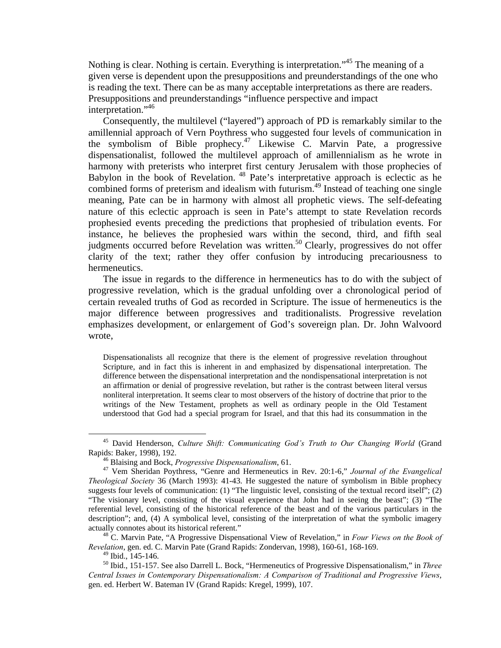Nothing is clear. Nothing is certain. Everything is interpretation."45 The meaning of a given verse is dependent upon the presuppositions and preunderstandings of the one who is reading the text. There can be as many acceptable interpretations as there are readers. Presuppositions and preunderstandings "influence perspective and impact interpretation."<sup>46</sup>

 Consequently, the multilevel ("layered") approach of PD is remarkably similar to the amillennial approach of Vern Poythress who suggested four levels of communication in the symbolism of Bible prophecy.<sup>47</sup> Likewise C. Marvin Pate, a progressive dispensationalist, followed the multilevel approach of amillennialism as he wrote in harmony with preterists who interpret first century Jerusalem with those prophecies of Babylon in the book of Revelation. 48 Pate's interpretative approach is eclectic as he combined forms of preterism and idealism with futurism.<sup>49</sup> Instead of teaching one single meaning, Pate can be in harmony with almost all prophetic views. The self-defeating nature of this eclectic approach is seen in Pate's attempt to state Revelation records prophesied events preceding the predictions that prophesied of tribulation events. For instance, he believes the prophesied wars within the second, third, and fifth seal judgments occurred before Revelation was written.<sup>50</sup> Clearly, progressives do not offer clarity of the text; rather they offer confusion by introducing precariousness to hermeneutics.

 The issue in regards to the difference in hermeneutics has to do with the subject of progressive revelation, which is the gradual unfolding over a chronological period of certain revealed truths of God as recorded in Scripture. The issue of hermeneutics is the major difference between progressives and traditionalists. Progressive revelation emphasizes development, or enlargement of God's sovereign plan. Dr. John Walvoord wrote,

Dispensationalists all recognize that there is the element of progressive revelation throughout Scripture, and in fact this is inherent in and emphasized by dispensational interpretation. The difference between the dispensational interpretation and the nondispensational interpretation is not an affirmation or denial of progressive revelation, but rather is the contrast between literal versus nonliteral interpretation. It seems clear to most observers of the history of doctrine that prior to the writings of the New Testament, prophets as well as ordinary people in the Old Testament understood that God had a special program for Israel, and that this had its consummation in the

*Revelation*, gen. ed. C. Marvin Pate (Grand Rapids: Zondervan, 1998), 160-61, 168-169.

 <sup>45</sup> David Henderson, *Culture Shift: Communicating God's Truth to Our Changing World* (Grand Rapids: Baker, 1998), 192.<br><sup>46</sup> Blaising and Bock, *Progressive Dispensationalism*, 61.<br><sup>47</sup> Vem Sheridan Poythress, "Genre and Hermeneutics in Rev. 20:1-6," *Journal of the Evangelical* 

*Theological Society* 36 (March 1993): 41-43. He suggested the nature of symbolism in Bible prophecy suggests four levels of communication: (1) "The linguistic level, consisting of the textual record itself"; (2) "The visionary level, consisting of the visual experience that John had in seeing the beast"; (3) "The referential level, consisting of the historical reference of the beast and of the various particulars in the description"; and, (4) A symbolical level, consisting of the interpretation of what the symbolic imagery actually connotes about its historical referent." 48 C. Marvin Pate, "A Progressive Dispensational View of Revelation," in *Four Views on the Book of* 

 $49$  Ibid., 145-146.

<sup>50</sup> Ibid., 151-157. See also Darrell L. Bock, "Hermeneutics of Progressive Dispensationalism," in *Three Central Issues in Contemporary Dispensationalism: A Comparison of Traditional and Progressive Views*, gen. ed. Herbert W. Bateman IV (Grand Rapids: Kregel, 1999), 107.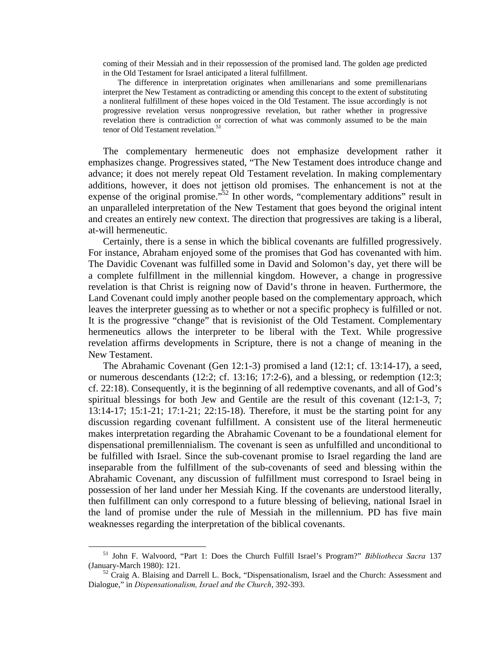coming of their Messiah and in their repossession of the promised land. The golden age predicted in the Old Testament for Israel anticipated a literal fulfillment.

 The difference in interpretation originates when amillenarians and some premillenarians interpret the New Testament as contradicting or amending this concept to the extent of substituting a nonliteral fulfillment of these hopes voiced in the Old Testament. The issue accordingly is not progressive revelation versus nonprogressive revelation, but rather whether in progressive revelation there is contradiction or correction of what was commonly assumed to be the main tenor of Old Testament revelation.<sup>51</sup>

 The complementary hermeneutic does not emphasize development rather it emphasizes change. Progressives stated, "The New Testament does introduce change and advance; it does not merely repeat Old Testament revelation. In making complementary additions, however, it does not jettison old promises. The enhancement is not at the expense of the original promise.<sup> $52$ </sup> In other words, "complementary additions" result in an unparalleled interpretation of the New Testament that goes beyond the original intent and creates an entirely new context. The direction that progressives are taking is a liberal, at-will hermeneutic.

 Certainly, there is a sense in which the biblical covenants are fulfilled progressively. For instance, Abraham enjoyed some of the promises that God has covenanted with him. The Davidic Covenant was fulfilled some in David and Solomon's day, yet there will be a complete fulfillment in the millennial kingdom. However, a change in progressive revelation is that Christ is reigning now of David's throne in heaven. Furthermore, the Land Covenant could imply another people based on the complementary approach, which leaves the interpreter guessing as to whether or not a specific prophecy is fulfilled or not. It is the progressive "change" that is revisionist of the Old Testament. Complementary hermeneutics allows the interpreter to be liberal with the Text. While progressive revelation affirms developments in Scripture, there is not a change of meaning in the New Testament.

 The Abrahamic Covenant (Gen 12:1-3) promised a land (12:1; cf. 13:14-17), a seed, or numerous descendants (12:2; cf. 13:16; 17:2-6), and a blessing, or redemption (12:3; cf. 22:18). Consequently, it is the beginning of all redemptive covenants, and all of God's spiritual blessings for both Jew and Gentile are the result of this covenant (12:1-3, 7; 13:14-17; 15:1-21; 17:1-21; 22:15-18). Therefore, it must be the starting point for any discussion regarding covenant fulfillment. A consistent use of the literal hermeneutic makes interpretation regarding the Abrahamic Covenant to be a foundational element for dispensational premillennialism. The covenant is seen as unfulfilled and unconditional to be fulfilled with Israel. Since the sub-covenant promise to Israel regarding the land are inseparable from the fulfillment of the sub-covenants of seed and blessing within the Abrahamic Covenant, any discussion of fulfillment must correspond to Israel being in possession of her land under her Messiah King. If the covenants are understood literally, then fulfillment can only correspond to a future blessing of believing, national Israel in the land of promise under the rule of Messiah in the millennium. PD has five main weaknesses regarding the interpretation of the biblical covenants.

 <sup>51</sup> John F. Walvoord, "Part 1: Does the Church Fulfill Israel's Program?" *Bibliotheca Sacra*<sup>137</sup> (January-March 1980): 121. 52 Craig A. Blaising and Darrell L. Bock, "Dispensationalism, Israel and the Church: Assessment and

Dialogue," in *Dispensationalism, Israel and the Church*, 392-393.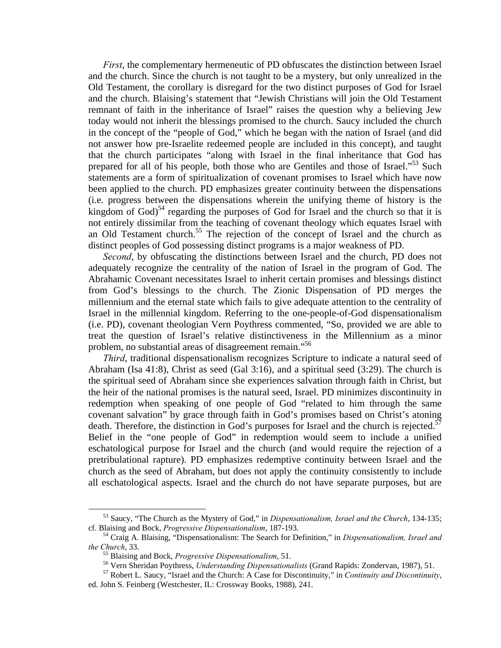*First*, the complementary hermeneutic of PD obfuscates the distinction between Israel and the church. Since the church is not taught to be a mystery, but only unrealized in the Old Testament, the corollary is disregard for the two distinct purposes of God for Israel and the church. Blaising's statement that "Jewish Christians will join the Old Testament remnant of faith in the inheritance of Israel" raises the question why a believing Jew today would not inherit the blessings promised to the church. Saucy included the church in the concept of the "people of God," which he began with the nation of Israel (and did not answer how pre-Israelite redeemed people are included in this concept), and taught that the church participates "along with Israel in the final inheritance that God has prepared for all of his people, both those who are Gentiles and those of Israel."<sup>53</sup> Such statements are a form of spiritualization of covenant promises to Israel which have now been applied to the church. PD emphasizes greater continuity between the dispensations (i.e. progress between the dispensations wherein the unifying theme of history is the kingdom of  $God$ <sup>54</sup> regarding the purposes of God for Israel and the church so that it is not entirely dissimilar from the teaching of covenant theology which equates Israel with an Old Testament church.55 The rejection of the concept of Israel and the church as distinct peoples of God possessing distinct programs is a major weakness of PD.

*Second*, by obfuscating the distinctions between Israel and the church, PD does not adequately recognize the centrality of the nation of Israel in the program of God. The Abrahamic Covenant necessitates Israel to inherit certain promises and blessings distinct from God's blessings to the church. The Zionic Dispensation of PD merges the millennium and the eternal state which fails to give adequate attention to the centrality of Israel in the millennial kingdom. Referring to the one-people-of-God dispensationalism (i.e. PD), covenant theologian Vern Poythress commented, "So, provided we are able to treat the question of Israel's relative distinctiveness in the Millennium as a minor problem, no substantial areas of disagreement remain."<sup>56</sup>

*Third*, traditional dispensationalism recognizes Scripture to indicate a natural seed of Abraham (Isa 41:8), Christ as seed (Gal 3:16), and a spiritual seed (3:29). The church is the spiritual seed of Abraham since she experiences salvation through faith in Christ, but the heir of the national promises is the natural seed, Israel. PD minimizes discontinuity in redemption when speaking of one people of God "related to him through the same covenant salvation" by grace through faith in God's promises based on Christ's atoning death. Therefore, the distinction in God's purposes for Israel and the church is rejected.<sup>57</sup> Belief in the "one people of God" in redemption would seem to include a unified eschatological purpose for Israel and the church (and would require the rejection of a pretribulational rapture). PD emphasizes redemptive continuity between Israel and the church as the seed of Abraham, but does not apply the continuity consistently to include all eschatological aspects. Israel and the church do not have separate purposes, but are

 <sup>53</sup> Saucy, "The Church as the Mystery of God," in *Dispensationalism, Israel and the Church*, 134-135; cf. Blaising and Bock, *Progressive Dispensationalism*, 187-193. 54 Craig A. Blaising, "Dispensationalism: The Search for Definition," in *Dispensationalism, Israel and* 

the Church, 33.<br><sup>55</sup> Blaising and Bock, *Progressive Dispensationalism*, 51.<br><sup>56</sup> Vern Sheridan Poythress, *Understanding Dispensationalists* (Grand Rapids: Zondervan, 1987), 51.<br><sup>57</sup> Robert L. Saucy, "Israel and the Churc

ed. John S. Feinberg (Westchester, IL: Crossway Books, 1988), 241.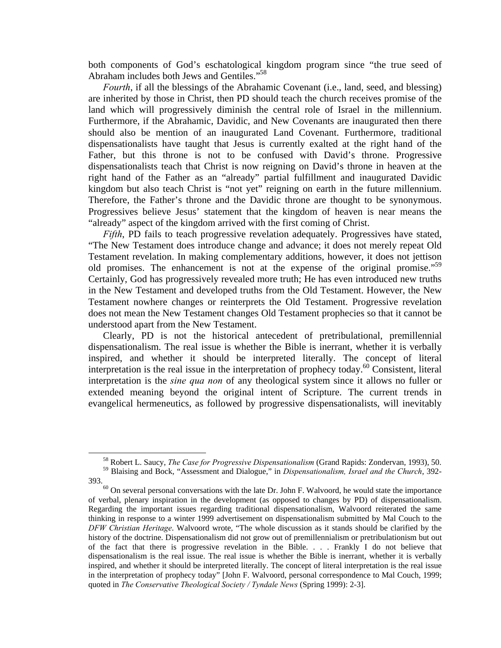both components of God's eschatological kingdom program since "the true seed of Abraham includes both Jews and Gentiles."<sup>58</sup>

*Fourth*, if all the blessings of the Abrahamic Covenant (i.e., land, seed, and blessing) are inherited by those in Christ, then PD should teach the church receives promise of the land which will progressively diminish the central role of Israel in the millennium. Furthermore, if the Abrahamic, Davidic, and New Covenants are inaugurated then there should also be mention of an inaugurated Land Covenant. Furthermore, traditional dispensationalists have taught that Jesus is currently exalted at the right hand of the Father, but this throne is not to be confused with David's throne. Progressive dispensationalists teach that Christ is now reigning on David's throne in heaven at the right hand of the Father as an "already" partial fulfillment and inaugurated Davidic kingdom but also teach Christ is "not yet" reigning on earth in the future millennium. Therefore, the Father's throne and the Davidic throne are thought to be synonymous. Progressives believe Jesus' statement that the kingdom of heaven is near means the "already" aspect of the kingdom arrived with the first coming of Christ.

*Fifth*, PD fails to teach progressive revelation adequately. Progressives have stated, "The New Testament does introduce change and advance; it does not merely repeat Old Testament revelation. In making complementary additions, however, it does not jettison old promises. The enhancement is not at the expense of the original promise.<sup>59</sup> Certainly, God has progressively revealed more truth; He has even introduced new truths in the New Testament and developed truths from the Old Testament. However, the New Testament nowhere changes or reinterprets the Old Testament. Progressive revelation does not mean the New Testament changes Old Testament prophecies so that it cannot be understood apart from the New Testament.

 Clearly, PD is not the historical antecedent of pretribulational, premillennial dispensationalism. The real issue is whether the Bible is inerrant, whether it is verbally inspired, and whether it should be interpreted literally. The concept of literal interpretation is the real issue in the interpretation of prophecy today.<sup>60</sup> Consistent, literal interpretation is the *sine qua non* of any theological system since it allows no fuller or extended meaning beyond the original intent of Scripture. The current trends in evangelical hermeneutics, as followed by progressive dispensationalists, will inevitably

 <sup>58</sup> Robert L. Saucy, *The Case for Progressive Dispensationalism* (Grand Rapids: Zondervan, 1993), 50.

<sup>59</sup> Blaising and Bock, "Assessment and Dialogue," in *Dispensationalism, Israel and the Church*, 392-

 $393.$ <sup>60</sup> On several personal conversations with the late Dr. John F. Walvoord, he would state the importance of verbal, plenary inspiration in the development (as opposed to changes by PD) of dispensationalism. Regarding the important issues regarding traditional dispensationalism, Walvoord reiterated the same thinking in response to a winter 1999 advertisement on dispensationalism submitted by Mal Couch to the *DFW Christian Heritage*. Walvoord wrote, "The whole discussion as it stands should be clarified by the history of the doctrine. Dispensationalism did not grow out of premillennialism or pretribulationism but out of the fact that there is progressive revelation in the Bible. . . . Frankly I do not believe that dispensationalism is the real issue. The real issue is whether the Bible is inerrant, whether it is verbally inspired, and whether it should be interpreted literally. The concept of literal interpretation is the real issue in the interpretation of prophecy today" [John F. Walvoord, personal correspondence to Mal Couch, 1999; quoted in *The Conservative Theological Society / Tyndale News* (Spring 1999): 2-3].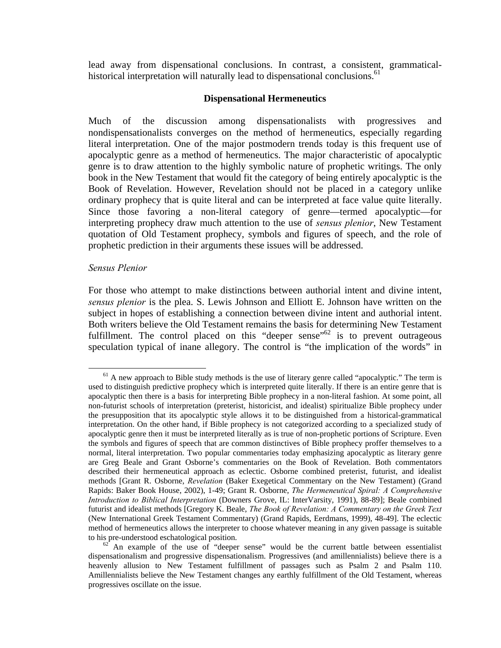lead away from dispensational conclusions. In contrast, a consistent, grammaticalhistorical interpretation will naturally lead to dispensational conclusions.<sup>61</sup>

# **Dispensational Hermeneutics**

Much of the discussion among dispensationalists with progressives and nondispensationalists converges on the method of hermeneutics, especially regarding literal interpretation. One of the major postmodern trends today is this frequent use of apocalyptic genre as a method of hermeneutics. The major characteristic of apocalyptic genre is to draw attention to the highly symbolic nature of prophetic writings. The only book in the New Testament that would fit the category of being entirely apocalyptic is the Book of Revelation. However, Revelation should not be placed in a category unlike ordinary prophecy that is quite literal and can be interpreted at face value quite literally. Since those favoring a non-literal category of genre—termed apocalyptic—for interpreting prophecy draw much attention to the use of *sensus plenior*, New Testament quotation of Old Testament prophecy, symbols and figures of speech, and the role of prophetic prediction in their arguments these issues will be addressed.

### *Sensus Plenior*

For those who attempt to make distinctions between authorial intent and divine intent, *sensus plenior* is the plea. S. Lewis Johnson and Elliott E. Johnson have written on the subject in hopes of establishing a connection between divine intent and authorial intent. Both writers believe the Old Testament remains the basis for determining New Testament fulfillment. The control placed on this "deeper sense"<sup>62</sup> is to prevent outrageous speculation typical of inane allegory. The control is "the implication of the words" in

 $<sup>61</sup>$  A new approach to Bible study methods is the use of literary genre called "apocalyptic." The term is</sup> used to distinguish predictive prophecy which is interpreted quite literally. If there is an entire genre that is apocalyptic then there is a basis for interpreting Bible prophecy in a non-literal fashion. At some point, all non-futurist schools of interpretation (preterist, historicist, and idealist) spiritualize Bible prophecy under the presupposition that its apocalyptic style allows it to be distinguished from a historical-grammatical interpretation. On the other hand, if Bible prophecy is not categorized according to a specialized study of apocalyptic genre then it must be interpreted literally as is true of non-prophetic portions of Scripture. Even the symbols and figures of speech that are common distinctives of Bible prophecy proffer themselves to a normal, literal interpretation. Two popular commentaries today emphasizing apocalyptic as literary genre are Greg Beale and Grant Osborne's commentaries on the Book of Revelation. Both commentators described their hermeneutical approach as eclectic. Osborne combined preterist, futurist, and idealist methods [Grant R. Osborne, *Revelation* (Baker Exegetical Commentary on the New Testament) (Grand Rapids: Baker Book House, 2002), 1-49; Grant R. Osborne, *The Hermeneutical Spiral: A Comprehensive Introduction to Biblical Interpretation* (Downers Grove, IL: InterVarsity, 1991), 88-89]; Beale combined futurist and idealist methods [Gregory K. Beale, *The Book of Revelation: A Commentary on the Greek Text*  (New International Greek Testament Commentary) (Grand Rapids, Eerdmans, 1999), 48-49]. The eclectic method of hermeneutics allows the interpreter to choose whatever meaning in any given passage is suitable to his pre-understood eschatological position.<br><sup>62</sup> An example of the use of "deeper sense" would be the current battle between essentialist

dispensationalism and progressive dispensationalism. Progressives (and amillennialists) believe there is a heavenly allusion to New Testament fulfillment of passages such as Psalm 2 and Psalm 110. Amillennialists believe the New Testament changes any earthly fulfillment of the Old Testament, whereas progressives oscillate on the issue.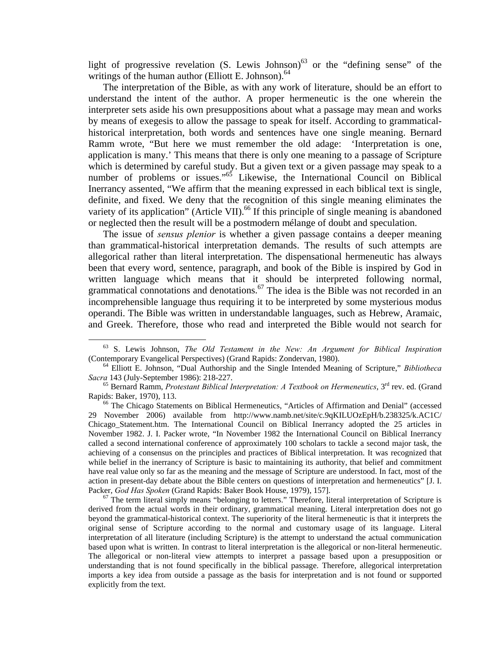light of progressive revelation  $(S.$  Lewis Johnson)<sup>63</sup> or the "defining sense" of the writings of the human author (Elliott E. Johnson). $64$ 

 The interpretation of the Bible, as with any work of literature, should be an effort to understand the intent of the author. A proper hermeneutic is the one wherein the interpreter sets aside his own presuppositions about what a passage may mean and works by means of exegesis to allow the passage to speak for itself. According to grammaticalhistorical interpretation, both words and sentences have one single meaning. Bernard Ramm wrote, "But here we must remember the old adage: 'Interpretation is one, application is many.' This means that there is only one meaning to a passage of Scripture which is determined by careful study. But a given text or a given passage may speak to a number of problems or issues."<sup>65</sup> Likewise, the International Council on Biblical Inerrancy assented, "We affirm that the meaning expressed in each biblical text is single, definite, and fixed. We deny that the recognition of this single meaning eliminates the variety of its application" (Article VII).<sup>66</sup> If this principle of single meaning is abandoned or neglected then the result will be a postmodern mélange of doubt and speculation.

 The issue of *sensus plenior* is whether a given passage contains a deeper meaning than grammatical-historical interpretation demands. The results of such attempts are allegorical rather than literal interpretation. The dispensational hermeneutic has always been that every word, sentence, paragraph, and book of the Bible is inspired by God in written language which means that it should be interpreted following normal, grammatical connotations and denotations.<sup>67</sup> The idea is the Bible was not recorded in an incomprehensible language thus requiring it to be interpreted by some mysterious modus operandi. The Bible was written in understandable languages, such as Hebrew, Aramaic, and Greek. Therefore, those who read and interpreted the Bible would not search for

derived from the actual words in their ordinary, grammatical meaning. Literal interpretation does not go beyond the grammatical-historical context. The superiority of the literal hermeneutic is that it interprets the original sense of Scripture according to the normal and customary usage of its language. Literal interpretation of all literature (including Scripture) is the attempt to understand the actual communication based upon what is written. In contrast to literal interpretation is the allegorical or non-literal hermeneutic. The allegorical or non-literal view attempts to interpret a passage based upon a presupposition or understanding that is not found specifically in the biblical passage. Therefore, allegorical interpretation imports a key idea from outside a passage as the basis for interpretation and is not found or supported explicitly from the text.

 <sup>63</sup> S. Lewis Johnson, *The Old Testament in the New: An Argument for Biblical Inspiration* (Contemporary Evangelical Perspectives) (Grand Rapids: Zondervan, 1980). 64 Elliott E. Johnson, "Dual Authorship and the Single Intended Meaning of Scripture," *Bibliotheca* 

*Sacra* 143 (July-September 1986): 218-227.

<sup>65</sup> Bernard Ramm, *Protestant Biblical Interpretation: A Textbook on Hermeneutics*, 3rd rev. ed. (Grand Rapids: Baker, 1970), 113.<br><sup>66</sup> The Chicago Statements on Biblical Hermeneutics, "Articles of Affirmation and Denial" (accessed

<sup>29</sup> November 2006) available from http://www.namb.net/site/c.9qKILUOzEpH/b.238325/k.AC1C/ Chicago\_Statement.htm. The International Council on Biblical Inerrancy adopted the 25 articles in November 1982. J. I. Packer wrote, "In November 1982 the International Council on Biblical Inerrancy called a second international conference of approximately 100 scholars to tackle a second major task, the achieving of a consensus on the principles and practices of Biblical interpretation. It was recognized that while belief in the inerrancy of Scripture is basic to maintaining its authority, that belief and commitment have real value only so far as the meaning and the message of Scripture are understood. In fact, most of the action in present-day debate about the Bible centers on questions of interpretation and hermeneutics" [J. I. Packer, *God Has Spoken* (Grand Rapids: Baker Book House, 1979), 157].<br><sup>67</sup> The term literal simply means "belonging to letters." Therefore, literal interpretation of Scripture is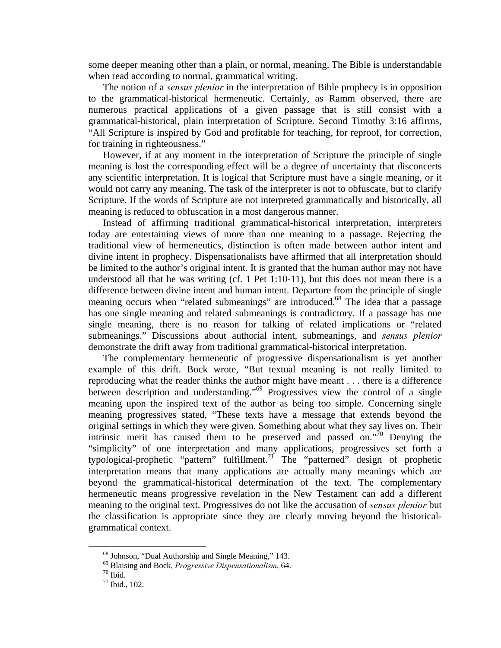some deeper meaning other than a plain, or normal, meaning. The Bible is understandable when read according to normal, grammatical writing.

 The notion of a *sensus plenior* in the interpretation of Bible prophecy is in opposition to the grammatical-historical hermeneutic. Certainly, as Ramm observed, there are numerous practical applications of a given passage that is still consist with a grammatical-historical, plain interpretation of Scripture. Second Timothy 3:16 affirms, "All Scripture is inspired by God and profitable for teaching, for reproof, for correction, for training in righteousness."

 However, if at any moment in the interpretation of Scripture the principle of single meaning is lost the corresponding effect will be a degree of uncertainty that disconcerts any scientific interpretation. It is logical that Scripture must have a single meaning, or it would not carry any meaning. The task of the interpreter is not to obfuscate, but to clarify Scripture. If the words of Scripture are not interpreted grammatically and historically, all meaning is reduced to obfuscation in a most dangerous manner.

 Instead of affirming traditional grammatical-historical interpretation, interpreters today are entertaining views of more than one meaning to a passage. Rejecting the traditional view of hermeneutics, distinction is often made between author intent and divine intent in prophecy. Dispensationalists have affirmed that all interpretation should be limited to the author's original intent. It is granted that the human author may not have understood all that he was writing (cf. 1 Pet 1:10-11), but this does not mean there is a difference between divine intent and human intent. Departure from the principle of single meaning occurs when "related submeanings" are introduced.<sup>68</sup> The idea that a passage has one single meaning and related submeanings is contradictory. If a passage has one single meaning, there is no reason for talking of related implications or "related submeanings." Discussions about authorial intent, submeanings, and *sensus plenior* demonstrate the drift away from traditional grammatical-historical interpretation.

 The complementary hermeneutic of progressive dispensationalism is yet another example of this drift. Bock wrote, "But textual meaning is not really limited to reproducing what the reader thinks the author might have meant . . . there is a difference between description and understanding."69 Progressives view the control of a single meaning upon the inspired text of the author as being too simple. Concerning single meaning progressives stated, "These texts have a message that extends beyond the original settings in which they were given. Something about what they say lives on. Their intrinsic merit has caused them to be preserved and passed on."<sup>70</sup> Denying the "simplicity" of one interpretation and many applications, progressives set forth a typological-prophetic "pattern" fulfillment.<sup>71</sup> The "patterned" design of prophetic interpretation means that many applications are actually many meanings which are beyond the grammatical-historical determination of the text. The complementary hermeneutic means progressive revelation in the New Testament can add a different meaning to the original text. Progressives do not like the accusation of *sensus plenior* but the classification is appropriate since they are clearly moving beyond the historicalgrammatical context.

 <sup>68</sup> Johnson, "Dual Authorship and Single Meaning," 143.

<sup>69</sup> Blaising and Bock, *Progressive Dispensationalism*, 64. 70 Ibid.

<sup>71</sup> Ibid., 102.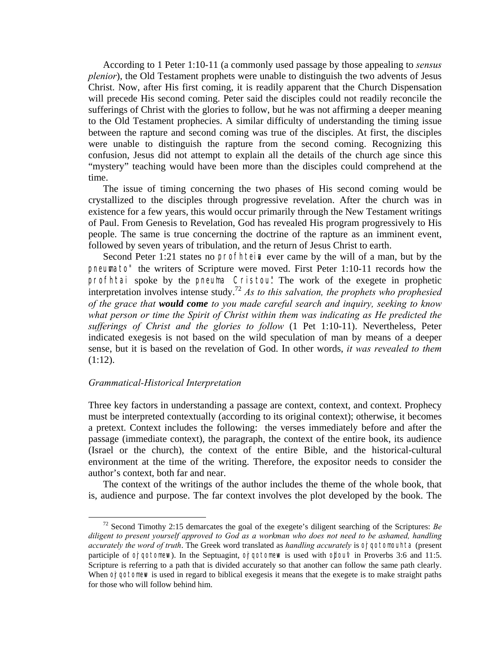According to 1 Peter 1:10-11 (a commonly used passage by those appealing to *sensus plenior*), the Old Testament prophets were unable to distinguish the two advents of Jesus Christ. Now, after His first coming, it is readily apparent that the Church Dispensation will precede His second coming. Peter said the disciples could not readily reconcile the sufferings of Christ with the glories to follow, but he was not affirming a deeper meaning to the Old Testament prophecies. A similar difficulty of understanding the timing issue between the rapture and second coming was true of the disciples. At first, the disciples were unable to distinguish the rapture from the second coming. Recognizing this confusion, Jesus did not attempt to explain all the details of the church age since this "mystery" teaching would have been more than the disciples could comprehend at the time.

 The issue of timing concerning the two phases of His second coming would be crystallized to the disciples through progressive revelation. After the church was in existence for a few years, this would occur primarily through the New Testament writings of Paul. From Genesis to Revelation, God has revealed His program progressively to His people. The same is true concerning the doctrine of the rapture as an imminent event, followed by seven years of tribulation, and the return of Jesus Christ to earth.

Second Peter 1:21 states no **profinition** ever came by the will of a man, but by the **pneumato**" the writers of Scripture were moved. First Peter 1:10-11 records how the profhtai spoke by the pneuma Cristou! The work of the exegete in prophetic interpretation involves intense study.72 *As to this salvation, the prophets who prophesied of the grace that would come to you made careful search and inquiry, seeking to know what person or time the Spirit of Christ within them was indicating as He predicted the sufferings of Christ and the glories to follow* (1 Pet 1:10-11). Nevertheless, Peter indicated exegesis is not based on the wild speculation of man by means of a deeper sense, but it is based on the revelation of God. In other words, *it was revealed to them* (1:12).

# *Grammatical-Historical Interpretation*

Three key factors in understanding a passage are context, context, and context. Prophecy must be interpreted contextually (according to its original context); otherwise, it becomes a pretext. Context includes the following: the verses immediately before and after the passage (immediate context), the paragraph, the context of the entire book, its audience (Israel or the church), the context of the entire Bible, and the historical-cultural environment at the time of the writing. Therefore, the expositor needs to consider the author's context, both far and near.

 The context of the writings of the author includes the theme of the whole book, that is, audience and purpose. The far context involves the plot developed by the book. The

 <sup>72</sup> Second Timothy 2:15 demarcates the goal of the exegete's diligent searching of the Scriptures: *Be diligent to present yourself approved to God as a workman who does not need to be ashamed, handling accurately the word of truth*. The Greek word translated as *handling accurately* is **orgotomounta** (present participle of  $o$ rqotomew). In the Septuagint,  $o$ rqotomew is used with oblout in Proverbs 3:6 and 11:5. Scripture is referring to a path that is divided accurately so that another can follow the same path clearly. When **orgotomew** is used in regard to biblical exegesis it means that the exegete is to make straight paths for those who will follow behind him.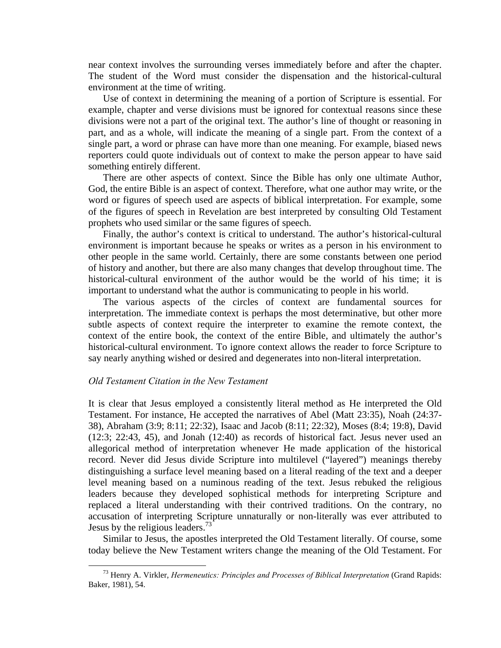near context involves the surrounding verses immediately before and after the chapter. The student of the Word must consider the dispensation and the historical-cultural environment at the time of writing.

 Use of context in determining the meaning of a portion of Scripture is essential. For example, chapter and verse divisions must be ignored for contextual reasons since these divisions were not a part of the original text. The author's line of thought or reasoning in part, and as a whole, will indicate the meaning of a single part. From the context of a single part, a word or phrase can have more than one meaning. For example, biased news reporters could quote individuals out of context to make the person appear to have said something entirely different.

 There are other aspects of context. Since the Bible has only one ultimate Author, God, the entire Bible is an aspect of context. Therefore, what one author may write, or the word or figures of speech used are aspects of biblical interpretation. For example, some of the figures of speech in Revelation are best interpreted by consulting Old Testament prophets who used similar or the same figures of speech.

 Finally, the author's context is critical to understand. The author's historical-cultural environment is important because he speaks or writes as a person in his environment to other people in the same world. Certainly, there are some constants between one period of history and another, but there are also many changes that develop throughout time. The historical-cultural environment of the author would be the world of his time; it is important to understand what the author is communicating to people in his world.

 The various aspects of the circles of context are fundamental sources for interpretation. The immediate context is perhaps the most determinative, but other more subtle aspects of context require the interpreter to examine the remote context, the context of the entire book, the context of the entire Bible, and ultimately the author's historical-cultural environment. To ignore context allows the reader to force Scripture to say nearly anything wished or desired and degenerates into non-literal interpretation.

# *Old Testament Citation in the New Testament*

It is clear that Jesus employed a consistently literal method as He interpreted the Old Testament. For instance, He accepted the narratives of Abel (Matt 23:35), Noah (24:37- 38), Abraham (3:9; 8:11; 22:32), Isaac and Jacob (8:11; 22:32), Moses (8:4; 19:8), David (12:3; 22:43, 45), and Jonah (12:40) as records of historical fact. Jesus never used an allegorical method of interpretation whenever He made application of the historical record. Never did Jesus divide Scripture into multilevel ("layered") meanings thereby distinguishing a surface level meaning based on a literal reading of the text and a deeper level meaning based on a numinous reading of the text. Jesus rebuked the religious leaders because they developed sophistical methods for interpreting Scripture and replaced a literal understanding with their contrived traditions. On the contrary, no accusation of interpreting Scripture unnaturally or non-literally was ever attributed to Jesus by the religious leaders.<sup>73</sup>

 Similar to Jesus, the apostles interpreted the Old Testament literally. Of course, some today believe the New Testament writers change the meaning of the Old Testament. For

 <sup>73</sup> Henry A. Virkler, *Hermeneutics: Principles and Processes of Biblical Interpretation* (Grand Rapids: Baker, 1981), 54.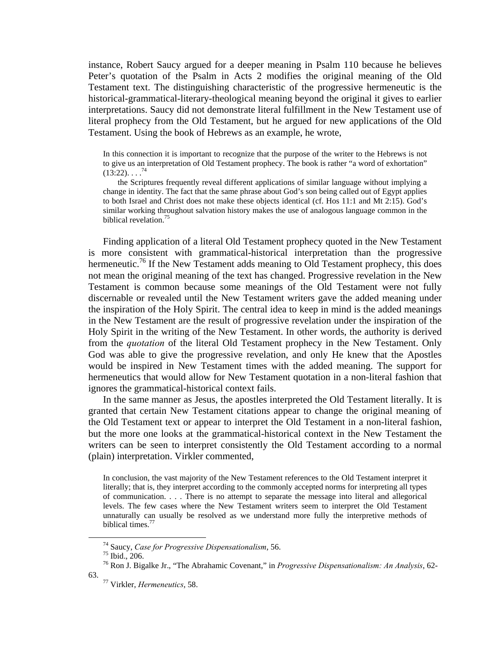instance, Robert Saucy argued for a deeper meaning in Psalm 110 because he believes Peter's quotation of the Psalm in Acts 2 modifies the original meaning of the Old Testament text. The distinguishing characteristic of the progressive hermeneutic is the historical-grammatical-literary-theological meaning beyond the original it gives to earlier interpretations. Saucy did not demonstrate literal fulfillment in the New Testament use of literal prophecy from the Old Testament, but he argued for new applications of the Old Testament. Using the book of Hebrews as an example, he wrote,

In this connection it is important to recognize that the purpose of the writer to the Hebrews is not to give us an interpretation of Old Testament prophecy. The book is rather "a word of exhortation"  $(13:22)$ .  $\ldots$ <sup>74</sup>

 the Scriptures frequently reveal different applications of similar language without implying a change in identity. The fact that the same phrase about God's son being called out of Egypt applies to both Israel and Christ does not make these objects identical (cf. Hos 11:1 and Mt 2:15). God's similar working throughout salvation history makes the use of analogous language common in the biblical revelation.<sup>75</sup>

Finding application of a literal Old Testament prophecy quoted in the New Testament is more consistent with grammatical-historical interpretation than the progressive hermeneutic.<sup>76</sup> If the New Testament adds meaning to Old Testament prophecy, this does not mean the original meaning of the text has changed. Progressive revelation in the New Testament is common because some meanings of the Old Testament were not fully discernable or revealed until the New Testament writers gave the added meaning under the inspiration of the Holy Spirit. The central idea to keep in mind is the added meanings in the New Testament are the result of progressive revelation under the inspiration of the Holy Spirit in the writing of the New Testament. In other words, the authority is derived from the *quotation* of the literal Old Testament prophecy in the New Testament. Only God was able to give the progressive revelation, and only He knew that the Apostles would be inspired in New Testament times with the added meaning. The support for hermeneutics that would allow for New Testament quotation in a non-literal fashion that ignores the grammatical-historical context fails.

 In the same manner as Jesus, the apostles interpreted the Old Testament literally. It is granted that certain New Testament citations appear to change the original meaning of the Old Testament text or appear to interpret the Old Testament in a non-literal fashion, but the more one looks at the grammatical-historical context in the New Testament the writers can be seen to interpret consistently the Old Testament according to a normal (plain) interpretation. Virkler commented,

In conclusion, the vast majority of the New Testament references to the Old Testament interpret it literally; that is, they interpret according to the commonly accepted norms for interpreting all types of communication. . . . There is no attempt to separate the message into literal and allegorical levels. The few cases where the New Testament writers seem to interpret the Old Testament unnaturally can usually be resolved as we understand more fully the interpretive methods of biblical times.<sup>77</sup>

 <sup>74</sup> Saucy, *Case for Progressive Dispensationalism*, 56. 75 Ibid., 206.

<sup>76</sup> Ron J. Bigalke Jr., "The Abrahamic Covenant," in *Progressive Dispensationalism: An Analysis*, 62-

<sup>63. 77</sup> Virkler, *Hermeneutics*, 58.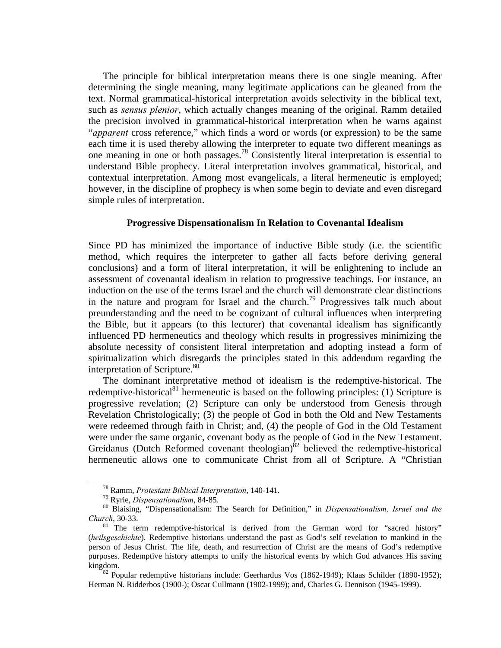The principle for biblical interpretation means there is one single meaning. After determining the single meaning, many legitimate applications can be gleaned from the text. Normal grammatical-historical interpretation avoids selectivity in the biblical text, such as *sensus plenior*, which actually changes meaning of the original. Ramm detailed the precision involved in grammatical-historical interpretation when he warns against "*apparent* cross reference," which finds a word or words (or expression) to be the same each time it is used thereby allowing the interpreter to equate two different meanings as one meaning in one or both passages.78 Consistently literal interpretation is essential to understand Bible prophecy. Literal interpretation involves grammatical, historical, and contextual interpretation. Among most evangelicals, a literal hermeneutic is employed; however, in the discipline of prophecy is when some begin to deviate and even disregard simple rules of interpretation.

# **Progressive Dispensationalism In Relation to Covenantal Idealism**

Since PD has minimized the importance of inductive Bible study (i.e. the scientific method, which requires the interpreter to gather all facts before deriving general conclusions) and a form of literal interpretation, it will be enlightening to include an assessment of covenantal idealism in relation to progressive teachings. For instance, an induction on the use of the terms Israel and the church will demonstrate clear distinctions in the nature and program for Israel and the church.<sup>79</sup> Progressives talk much about preunderstanding and the need to be cognizant of cultural influences when interpreting the Bible, but it appears (to this lecturer) that covenantal idealism has significantly influenced PD hermeneutics and theology which results in progressives minimizing the absolute necessity of consistent literal interpretation and adopting instead a form of spiritualization which disregards the principles stated in this addendum regarding the interpretation of Scripture. $80$ 

The dominant interpretative method of idealism is the redemptive-historical. The redemptive-historical<sup>81</sup> hermeneutic is based on the following principles: (1) Scripture is progressive revelation; (2) Scripture can only be understood from Genesis through Revelation Christologically; (3) the people of God in both the Old and New Testaments were redeemed through faith in Christ; and, (4) the people of God in the Old Testament were under the same organic, covenant body as the people of God in the New Testament. Greidanus (Dutch Reformed covenant theologian) $\delta^2$  believed the redemptive-historical hermeneutic allows one to communicate Christ from all of Scripture. A "Christian

<sup>&</sup>lt;sup>78</sup> Ramm, *Protestant Biblical Interpretation*, 140-141.<br><sup>79</sup> Ryrie, *Dispensationalism*, 84-85.<br><sup>80</sup> Blaising, "Dispensationalism: The Search for Definition," in *Dispensationalism, Israel and the Church*, 30-33.<br><sup>81</sup> The term redemptive-historical is derived from the German word for "sacred history"

<sup>(</sup>*heilsgeschichte*). Redemptive historians understand the past as God's self revelation to mankind in the person of Jesus Christ. The life, death, and resurrection of Christ are the means of God's redemptive purposes. Redemptive history attempts to unify the historical events by which God advances His saving kingdom.<br><sup>82</sup> Popular redemptive historians include: Geerhardus Vos (1862-1949); Klaas Schilder (1890-1952);

Herman N. Ridderbos (1900-); Oscar Cullmann (1902-1999); and, Charles G. Dennison (1945-1999).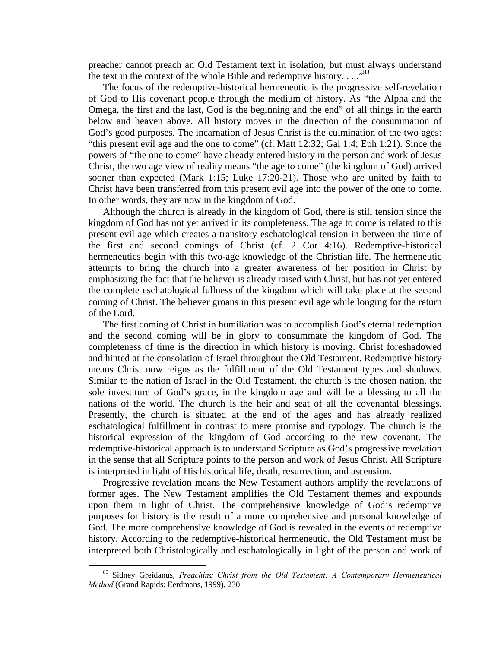preacher cannot preach an Old Testament text in isolation, but must always understand the text in the context of the whole Bible and redemptive history...."<sup>83</sup>

 The focus of the redemptive-historical hermeneutic is the progressive self-revelation of God to His covenant people through the medium of history. As "the Alpha and the Omega, the first and the last, God is the beginning and the end" of all things in the earth below and heaven above. All history moves in the direction of the consummation of God's good purposes. The incarnation of Jesus Christ is the culmination of the two ages: "this present evil age and the one to come" (cf. Matt 12:32; Gal 1:4; Eph 1:21). Since the powers of "the one to come" have already entered history in the person and work of Jesus Christ, the two age view of reality means "the age to come" (the kingdom of God) arrived sooner than expected (Mark 1:15; Luke 17:20-21). Those who are united by faith to Christ have been transferred from this present evil age into the power of the one to come. In other words, they are now in the kingdom of God.

 Although the church is already in the kingdom of God, there is still tension since the kingdom of God has not yet arrived in its completeness. The age to come is related to this present evil age which creates a transitory eschatological tension in between the time of the first and second comings of Christ (cf. 2 Cor 4:16). Redemptive-historical hermeneutics begin with this two-age knowledge of the Christian life. The hermeneutic attempts to bring the church into a greater awareness of her position in Christ by emphasizing the fact that the believer is already raised with Christ, but has not yet entered the complete eschatological fullness of the kingdom which will take place at the second coming of Christ. The believer groans in this present evil age while longing for the return of the Lord.

 The first coming of Christ in humiliation was to accomplish God's eternal redemption and the second coming will be in glory to consummate the kingdom of God. The completeness of time is the direction in which history is moving. Christ foreshadowed and hinted at the consolation of Israel throughout the Old Testament. Redemptive history means Christ now reigns as the fulfillment of the Old Testament types and shadows. Similar to the nation of Israel in the Old Testament, the church is the chosen nation, the sole investiture of God's grace, in the kingdom age and will be a blessing to all the nations of the world. The church is the heir and seat of all the covenantal blessings. Presently, the church is situated at the end of the ages and has already realized eschatological fulfillment in contrast to mere promise and typology. The church is the historical expression of the kingdom of God according to the new covenant. The redemptive-historical approach is to understand Scripture as God's progressive revelation in the sense that all Scripture points to the person and work of Jesus Christ. All Scripture is interpreted in light of His historical life, death, resurrection, and ascension.

 Progressive revelation means the New Testament authors amplify the revelations of former ages. The New Testament amplifies the Old Testament themes and expounds upon them in light of Christ. The comprehensive knowledge of God's redemptive purposes for history is the result of a more comprehensive and personal knowledge of God. The more comprehensive knowledge of God is revealed in the events of redemptive history. According to the redemptive-historical hermeneutic, the Old Testament must be interpreted both Christologically and eschatologically in light of the person and work of

 <sup>83</sup> Sidney Greidanus, *Preaching Christ from the Old Testament: A Contemporary Hermeneutical Method* (Grand Rapids: Eerdmans, 1999), 230.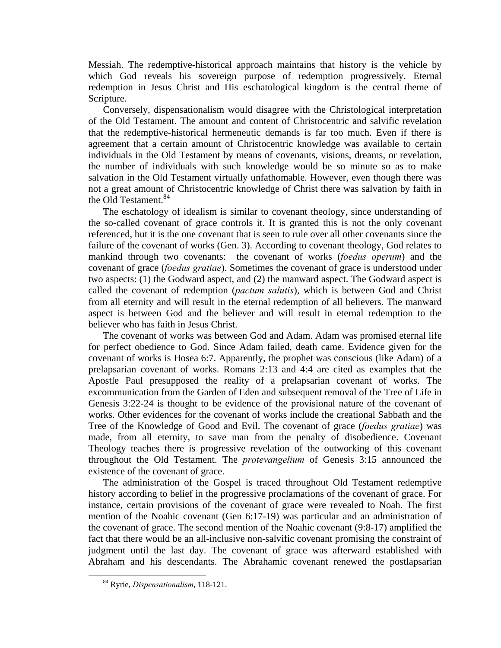Messiah. The redemptive-historical approach maintains that history is the vehicle by which God reveals his sovereign purpose of redemption progressively. Eternal redemption in Jesus Christ and His eschatological kingdom is the central theme of Scripture.

 Conversely, dispensationalism would disagree with the Christological interpretation of the Old Testament. The amount and content of Christocentric and salvific revelation that the redemptive-historical hermeneutic demands is far too much. Even if there is agreement that a certain amount of Christocentric knowledge was available to certain individuals in the Old Testament by means of covenants, visions, dreams, or revelation, the number of individuals with such knowledge would be so minute so as to make salvation in the Old Testament virtually unfathomable. However, even though there was not a great amount of Christocentric knowledge of Christ there was salvation by faith in the Old Testament.<sup>84</sup>

 The eschatology of idealism is similar to covenant theology, since understanding of the so-called covenant of grace controls it. It is granted this is not the only covenant referenced, but it is the one covenant that is seen to rule over all other covenants since the failure of the covenant of works (Gen. 3). According to covenant theology, God relates to mankind through two covenants: the covenant of works (*foedus operum*) and the covenant of grace (*foedus gratiae*). Sometimes the covenant of grace is understood under two aspects: (1) the Godward aspect, and (2) the manward aspect. The Godward aspect is called the covenant of redemption (*pactum salutis*), which is between God and Christ from all eternity and will result in the eternal redemption of all believers. The manward aspect is between God and the believer and will result in eternal redemption to the believer who has faith in Jesus Christ.

 The covenant of works was between God and Adam. Adam was promised eternal life for perfect obedience to God. Since Adam failed, death came. Evidence given for the covenant of works is Hosea 6:7. Apparently, the prophet was conscious (like Adam) of a prelapsarian covenant of works. Romans 2:13 and 4:4 are cited as examples that the Apostle Paul presupposed the reality of a prelapsarian covenant of works. The excommunication from the Garden of Eden and subsequent removal of the Tree of Life in Genesis 3:22-24 is thought to be evidence of the provisional nature of the covenant of works. Other evidences for the covenant of works include the creational Sabbath and the Tree of the Knowledge of Good and Evil. The covenant of grace (*foedus gratiae*) was made, from all eternity, to save man from the penalty of disobedience. Covenant Theology teaches there is progressive revelation of the outworking of this covenant throughout the Old Testament. The *protevangelium* of Genesis 3:15 announced the existence of the covenant of grace.

 The administration of the Gospel is traced throughout Old Testament redemptive history according to belief in the progressive proclamations of the covenant of grace. For instance, certain provisions of the covenant of grace were revealed to Noah. The first mention of the Noahic covenant (Gen 6:17-19) was particular and an administration of the covenant of grace. The second mention of the Noahic covenant (9:8-17) amplified the fact that there would be an all-inclusive non-salvific covenant promising the constraint of judgment until the last day. The covenant of grace was afterward established with Abraham and his descendants. The Abrahamic covenant renewed the postlapsarian

 <sup>84</sup> Ryrie, *Dispensationalism*, 118-121.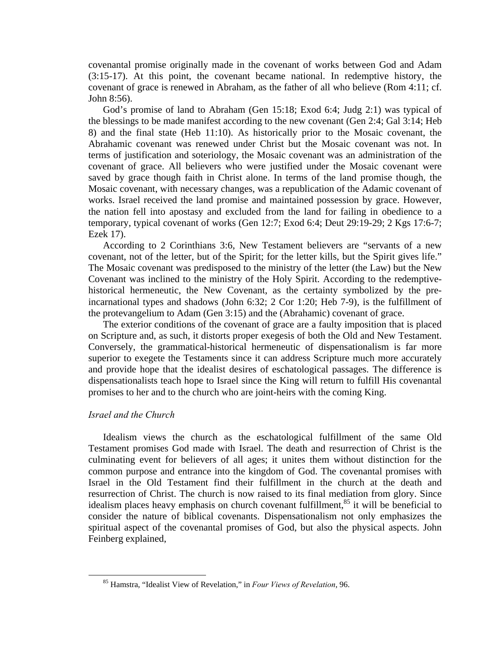covenantal promise originally made in the covenant of works between God and Adam (3:15-17). At this point, the covenant became national. In redemptive history, the covenant of grace is renewed in Abraham, as the father of all who believe (Rom 4:11; cf. John 8:56).

 God's promise of land to Abraham (Gen 15:18; Exod 6:4; Judg 2:1) was typical of the blessings to be made manifest according to the new covenant (Gen 2:4; Gal 3:14; Heb 8) and the final state (Heb 11:10). As historically prior to the Mosaic covenant, the Abrahamic covenant was renewed under Christ but the Mosaic covenant was not. In terms of justification and soteriology, the Mosaic covenant was an administration of the covenant of grace. All believers who were justified under the Mosaic covenant were saved by grace though faith in Christ alone. In terms of the land promise though, the Mosaic covenant, with necessary changes, was a republication of the Adamic covenant of works. Israel received the land promise and maintained possession by grace. However, the nation fell into apostasy and excluded from the land for failing in obedience to a temporary, typical covenant of works (Gen 12:7; Exod 6:4; Deut 29:19-29; 2 Kgs 17:6-7; Ezek 17).

 According to 2 Corinthians 3:6, New Testament believers are "servants of a new covenant, not of the letter, but of the Spirit; for the letter kills, but the Spirit gives life." The Mosaic covenant was predisposed to the ministry of the letter (the Law) but the New Covenant was inclined to the ministry of the Holy Spirit. According to the redemptivehistorical hermeneutic, the New Covenant, as the certainty symbolized by the preincarnational types and shadows (John 6:32; 2 Cor 1:20; Heb 7-9), is the fulfillment of the protevangelium to Adam (Gen 3:15) and the (Abrahamic) covenant of grace.

 The exterior conditions of the covenant of grace are a faulty imposition that is placed on Scripture and, as such, it distorts proper exegesis of both the Old and New Testament. Conversely, the grammatical-historical hermeneutic of dispensationalism is far more superior to exegete the Testaments since it can address Scripture much more accurately and provide hope that the idealist desires of eschatological passages. The difference is dispensationalists teach hope to Israel since the King will return to fulfill His covenantal promises to her and to the church who are joint-heirs with the coming King.

# *Israel and the Church*

 Idealism views the church as the eschatological fulfillment of the same Old Testament promises God made with Israel. The death and resurrection of Christ is the culminating event for believers of all ages; it unites them without distinction for the common purpose and entrance into the kingdom of God. The covenantal promises with Israel in the Old Testament find their fulfillment in the church at the death and resurrection of Christ. The church is now raised to its final mediation from glory. Since idealism places heavy emphasis on church covenant fulfillment, $85$  it will be beneficial to consider the nature of biblical covenants. Dispensationalism not only emphasizes the spiritual aspect of the covenantal promises of God, but also the physical aspects. John Feinberg explained,

 <sup>85</sup> Hamstra, "Idealist View of Revelation," in *Four Views of Revelation*, 96.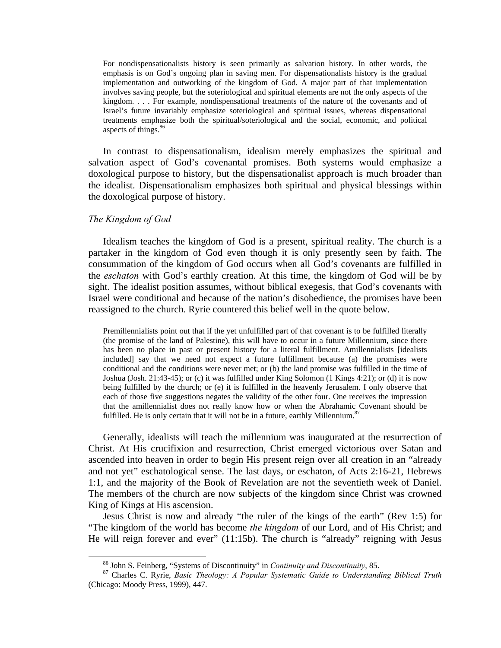For nondispensationalists history is seen primarily as salvation history. In other words, the emphasis is on God's ongoing plan in saving men. For dispensationalists history is the gradual implementation and outworking of the kingdom of God. A major part of that implementation involves saving people, but the soteriological and spiritual elements are not the only aspects of the kingdom. . . . For example, nondispensational treatments of the nature of the covenants and of Israel's future invariably emphasize soteriological and spiritual issues, whereas dispensational treatments emphasize both the spiritual/soteriological and the social, economic, and political aspects of things.<sup>86</sup>

 In contrast to dispensationalism, idealism merely emphasizes the spiritual and salvation aspect of God's covenantal promises. Both systems would emphasize a doxological purpose to history, but the dispensationalist approach is much broader than the idealist. Dispensationalism emphasizes both spiritual and physical blessings within the doxological purpose of history.

# *The Kingdom of God*

 Idealism teaches the kingdom of God is a present, spiritual reality. The church is a partaker in the kingdom of God even though it is only presently seen by faith. The consummation of the kingdom of God occurs when all God's covenants are fulfilled in the *eschaton* with God's earthly creation. At this time, the kingdom of God will be by sight. The idealist position assumes, without biblical exegesis, that God's covenants with Israel were conditional and because of the nation's disobedience, the promises have been reassigned to the church. Ryrie countered this belief well in the quote below.

Premillennialists point out that if the yet unfulfilled part of that covenant is to be fulfilled literally (the promise of the land of Palestine), this will have to occur in a future Millennium, since there has been no place in past or present history for a literal fulfillment. Amillennialists [idealists included] say that we need not expect a future fulfillment because (a) the promises were conditional and the conditions were never met; or (b) the land promise was fulfilled in the time of Joshua (Josh. 21:43-45); or (c) it was fulfilled under King Solomon (1 Kings 4:21); or (d) it is now being fulfilled by the church; or (e) it is fulfilled in the heavenly Jerusalem. I only observe that each of those five suggestions negates the validity of the other four. One receives the impression that the amillennialist does not really know how or when the Abrahamic Covenant should be fulfilled. He is only certain that it will not be in a future, earthly Millennium. $87$ 

 Generally, idealists will teach the millennium was inaugurated at the resurrection of Christ. At His crucifixion and resurrection, Christ emerged victorious over Satan and ascended into heaven in order to begin His present reign over all creation in an "already and not yet" eschatological sense. The last days, or eschaton, of Acts 2:16-21, Hebrews 1:1, and the majority of the Book of Revelation are not the seventieth week of Daniel. The members of the church are now subjects of the kingdom since Christ was crowned King of Kings at His ascension.

 Jesus Christ is now and already "the ruler of the kings of the earth" (Rev 1:5) for "The kingdom of the world has become *the kingdom* of our Lord, and of His Christ; and He will reign forever and ever" (11:15b). The church is "already" reigning with Jesus

 <sup>86</sup> John S. Feinberg, "Systems of Discontinuity" in *Continuity and Discontinuity*, 85. 87 Charles C. Ryrie, *Basic Theology: A Popular Systematic Guide to Understanding Biblical Truth* (Chicago: Moody Press, 1999), 447.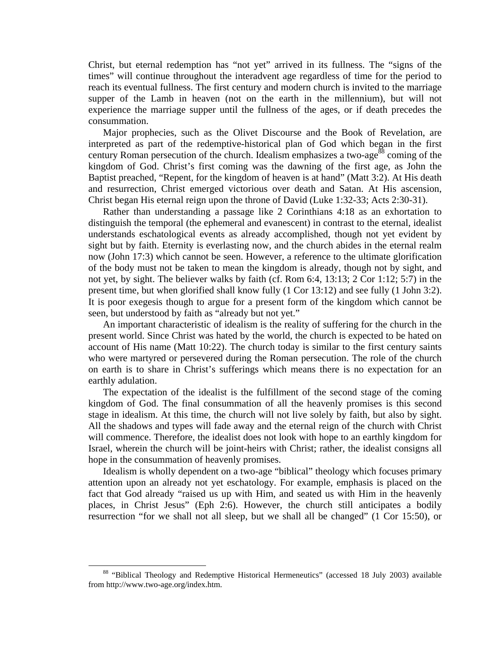Christ, but eternal redemption has "not yet" arrived in its fullness. The "signs of the times" will continue throughout the interadvent age regardless of time for the period to reach its eventual fullness. The first century and modern church is invited to the marriage supper of the Lamb in heaven (not on the earth in the millennium), but will not experience the marriage supper until the fullness of the ages, or if death precedes the consummation.

 Major prophecies, such as the Olivet Discourse and the Book of Revelation, are interpreted as part of the redemptive-historical plan of God which began in the first century Roman persecution of the church. Idealism emphasizes a two-age<sup>88</sup> coming of the kingdom of God. Christ's first coming was the dawning of the first age, as John the Baptist preached, "Repent, for the kingdom of heaven is at hand" (Matt 3:2). At His death and resurrection, Christ emerged victorious over death and Satan. At His ascension, Christ began His eternal reign upon the throne of David (Luke 1:32-33; Acts 2:30-31).

 Rather than understanding a passage like 2 Corinthians 4:18 as an exhortation to distinguish the temporal (the ephemeral and evanescent) in contrast to the eternal, idealist understands eschatological events as already accomplished, though not yet evident by sight but by faith. Eternity is everlasting now, and the church abides in the eternal realm now (John 17:3) which cannot be seen. However, a reference to the ultimate glorification of the body must not be taken to mean the kingdom is already, though not by sight, and not yet, by sight. The believer walks by faith (cf. Rom 6:4, 13:13; 2 Cor 1:12; 5:7) in the present time, but when glorified shall know fully (1 Cor 13:12) and see fully (1 John 3:2). It is poor exegesis though to argue for a present form of the kingdom which cannot be seen, but understood by faith as "already but not yet."

 An important characteristic of idealism is the reality of suffering for the church in the present world. Since Christ was hated by the world, the church is expected to be hated on account of His name (Matt 10:22). The church today is similar to the first century saints who were martyred or persevered during the Roman persecution. The role of the church on earth is to share in Christ's sufferings which means there is no expectation for an earthly adulation.

 The expectation of the idealist is the fulfillment of the second stage of the coming kingdom of God. The final consummation of all the heavenly promises is this second stage in idealism. At this time, the church will not live solely by faith, but also by sight. All the shadows and types will fade away and the eternal reign of the church with Christ will commence. Therefore, the idealist does not look with hope to an earthly kingdom for Israel, wherein the church will be joint-heirs with Christ; rather, the idealist consigns all hope in the consummation of heavenly promises.

 Idealism is wholly dependent on a two-age "biblical" theology which focuses primary attention upon an already not yet eschatology. For example, emphasis is placed on the fact that God already "raised us up with Him, and seated us with Him in the heavenly places, in Christ Jesus" (Eph 2:6). However, the church still anticipates a bodily resurrection "for we shall not all sleep, but we shall all be changed" (1 Cor 15:50), or

<sup>88 &</sup>quot;Biblical Theology and Redemptive Historical Hermeneutics" (accessed 18 July 2003) available from http://www.two-age.org/index.htm.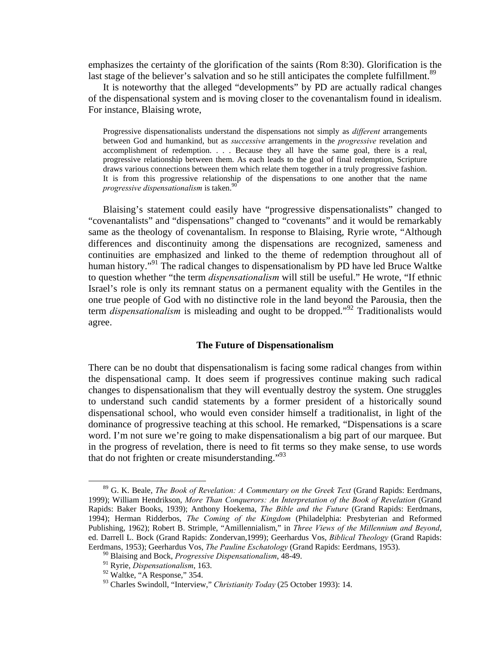emphasizes the certainty of the glorification of the saints (Rom 8:30). Glorification is the last stage of the believer's salvation and so he still anticipates the complete fulfillment.<sup>89</sup>

 It is noteworthy that the alleged "developments" by PD are actually radical changes of the dispensational system and is moving closer to the covenantalism found in idealism. For instance, Blaising wrote,

Progressive dispensationalists understand the dispensations not simply as *different* arrangements between God and humankind, but as *successive* arrangements in the *progressive* revelation and accomplishment of redemption. . . . Because they all have the same goal, there is a real, progressive relationship between them. As each leads to the goal of final redemption, Scripture draws various connections between them which relate them together in a truly progressive fashion. It is from this progressive relationship of the dispensations to one another that the name *progressive dispensationalism* is taken.<sup>90</sup>

 Blaising's statement could easily have "progressive dispensationalists" changed to "covenantalists" and "dispensations" changed to "covenants" and it would be remarkably same as the theology of covenantalism. In response to Blaising, Ryrie wrote, "Although differences and discontinuity among the dispensations are recognized, sameness and continuities are emphasized and linked to the theme of redemption throughout all of human history."<sup>91</sup> The radical changes to dispensationalism by PD have led Bruce Waltke to question whether "the term *dispensationalism* will still be useful." He wrote, "If ethnic Israel's role is only its remnant status on a permanent equality with the Gentiles in the one true people of God with no distinctive role in the land beyond the Parousia, then the term *dispensationalism* is misleading and ought to be dropped."92 Traditionalists would agree.

#### **The Future of Dispensationalism**

There can be no doubt that dispensationalism is facing some radical changes from within the dispensational camp. It does seem if progressives continue making such radical changes to dispensationalism that they will eventually destroy the system. One struggles to understand such candid statements by a former president of a historically sound dispensational school, who would even consider himself a traditionalist, in light of the dominance of progressive teaching at this school. He remarked, "Dispensations is a scare word. I'm not sure we're going to make dispensationalism a big part of our marquee. But in the progress of revelation, there is need to fit terms so they make sense, to use words that do not frighten or create misunderstanding. $1^{93}$ 

 <sup>89</sup> G. K. Beale, *The Book of Revelation: A Commentary on the Greek Text* (Grand Rapids: Eerdmans, 1999); William Hendrikson, *More Than Conquerors: An Interpretation of the Book of Revelation* (Grand Rapids: Baker Books, 1939); Anthony Hoekema, *The Bible and the Future* (Grand Rapids: Eerdmans, 1994); Herman Ridderbos, *The Coming of the Kingdom* (Philadelphia: Presbyterian and Reformed Publishing, 1962); Robert B. Strimple, "Amillennialism," in *Three Views of the Millennium and Beyond*, ed. Darrell L. Bock (Grand Rapids: Zondervan,1999); Geerhardus Vos, *Biblical Theology* (Grand Rapids: Eerdmans, 1953); Geerhardus Vos, *The Pauline Eschatology* (Grand Rapids: Eerdmans, 1953).

<sup>90</sup> Blaising and Bock, *Progressive Dispensationalism*, 48-49.

<sup>91</sup> Ryrie, *Dispensationalism*, 163.

<sup>&</sup>lt;sup>92</sup> Waltke, "A Response," 354.

<sup>93</sup> Charles Swindoll, "Interview," *Christianity Today* (25 October 1993): 14.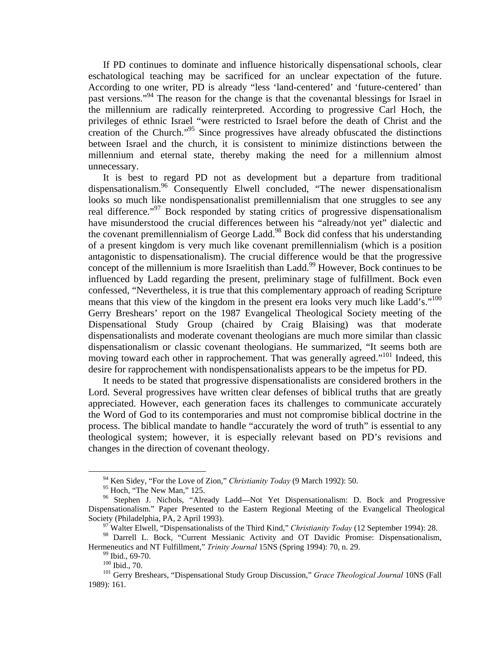If PD continues to dominate and influence historically dispensational schools, clear eschatological teaching may be sacrificed for an unclear expectation of the future. According to one writer, PD is already "less 'land-centered' and 'future-centered' than past versions."<sup>94</sup> The reason for the change is that the covenantal blessings for Israel in the millennium are radically reinterpreted. According to progressive Carl Hoch, the privileges of ethnic Israel "were restricted to Israel before the death of Christ and the creation of the Church."95 Since progressives have already obfuscated the distinctions between Israel and the church, it is consistent to minimize distinctions between the millennium and eternal state, thereby making the need for a millennium almost unnecessary.

 It is best to regard PD not as development but a departure from traditional dispensationalism.<sup>96</sup> Consequently Elwell concluded, "The newer dispensationalism looks so much like nondispensationalist premillennialism that one struggles to see any real difference."97 Bock responded by stating critics of progressive dispensationalism have misunderstood the crucial differences between his "already/not yet" dialectic and the covenant premillennialism of George Ladd.<sup>98</sup> Bock did confess that his understanding of a present kingdom is very much like covenant premillennialism (which is a position antagonistic to dispensationalism). The crucial difference would be that the progressive concept of the millennium is more Israelitish than Ladd.<sup>99</sup> However, Bock continues to be influenced by Ladd regarding the present, preliminary stage of fulfillment. Bock even confessed, "Nevertheless, it is true that this complementary approach of reading Scripture means that this view of the kingdom in the present era looks very much like Ladd's."<sup>100</sup> Gerry Breshears' report on the 1987 Evangelical Theological Society meeting of the Dispensational Study Group (chaired by Craig Blaising) was that moderate dispensationalists and moderate covenant theologians are much more similar than classic dispensationalism or classic covenant theologians. He summarized, "It seems both are moving toward each other in rapprochement. That was generally agreed."<sup>101</sup> Indeed, this desire for rapprochement with nondispensationalists appears to be the impetus for PD.

 It needs to be stated that progressive dispensationalists are considered brothers in the Lord. Several progressives have written clear defenses of biblical truths that are greatly appreciated. However, each generation faces its challenges to communicate accurately the Word of God to its contemporaries and must not compromise biblical doctrine in the process. The biblical mandate to handle "accurately the word of truth" is essential to any theological system; however, it is especially relevant based on PD's revisions and changes in the direction of covenant theology.

 <sup>94</sup> Ken Sidey, "For the Love of Zion," *Christianity Today* (9 March 1992): 50.

<sup>&</sup>lt;sup>95</sup> Hoch, "The New Man," 125.

<sup>&</sup>lt;sup>96</sup> Stephen J. Nichols, "Already Ladd—Not Yet Dispensationalism: D. Bock and Progressive Dispensationalism." Paper Presented to the Eastern Regional Meeting of the Evangelical Theological Society (Philadelphia, PA, 2 April 1993).<br><sup>97</sup> Walter Elwell, "Dispensationalists of the Third Kind," *Christianity Today* (12 September 1994): 28.

<sup>&</sup>lt;sup>98</sup> Darrell L. Bock, "Current Messianic Activity and OT Davidic Promise: Dispensationalism, Hermeneutics and NT Fulfillment," *Trinity Journal* 15NS (Spring 1994): 70, n. 29.<br><sup>99</sup> Ibid., 69-70.<br><sup>100</sup> Ibid., 70.

<sup>&</sup>lt;sup>101</sup> Gerry Breshears, "Dispensational Study Group Discussion," *Grace Theological Journal* 10NS (Fall 1989): 161.